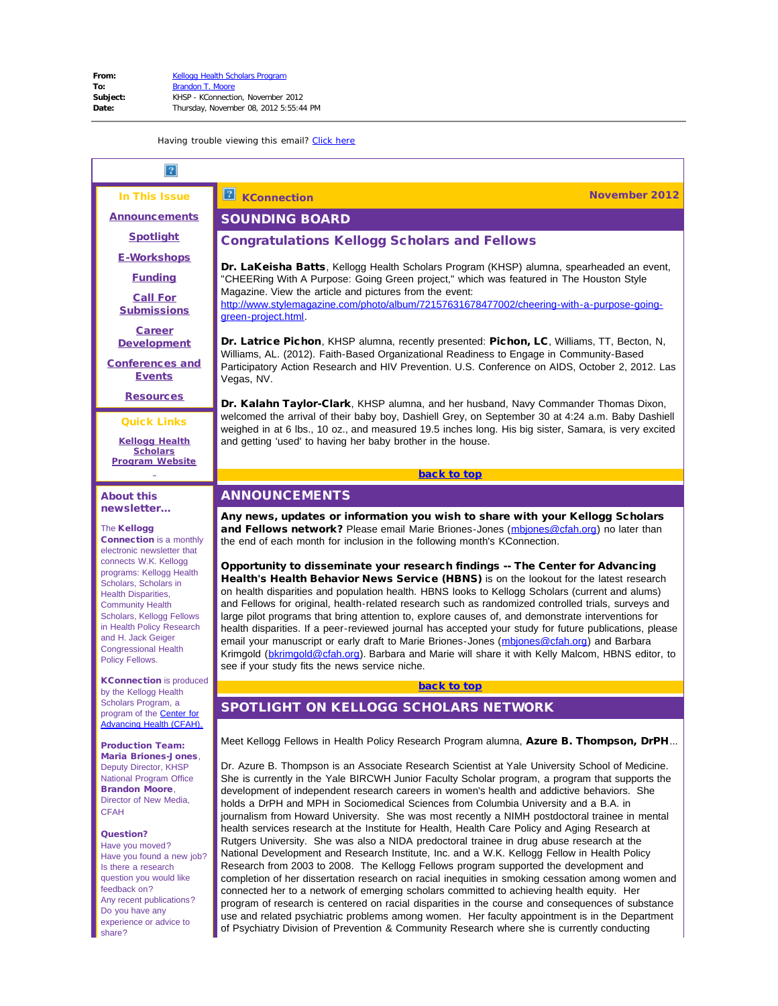<span id="page-0-3"></span><span id="page-0-2"></span><span id="page-0-1"></span><span id="page-0-0"></span>

| In This Issue                                                                                                                                                                                                                                                                                                                                                                                                                                    | <b>KConnection</b><br>November 2012                                                                                                                                                                                                                                                                                                                                                                                                                                                                                                                                                                                                                                                                                                                                                                                                                                                                                                                                                                                                                                                                                                                                                                                                                                                                                                                                                                                                                                                  |
|--------------------------------------------------------------------------------------------------------------------------------------------------------------------------------------------------------------------------------------------------------------------------------------------------------------------------------------------------------------------------------------------------------------------------------------------------|--------------------------------------------------------------------------------------------------------------------------------------------------------------------------------------------------------------------------------------------------------------------------------------------------------------------------------------------------------------------------------------------------------------------------------------------------------------------------------------------------------------------------------------------------------------------------------------------------------------------------------------------------------------------------------------------------------------------------------------------------------------------------------------------------------------------------------------------------------------------------------------------------------------------------------------------------------------------------------------------------------------------------------------------------------------------------------------------------------------------------------------------------------------------------------------------------------------------------------------------------------------------------------------------------------------------------------------------------------------------------------------------------------------------------------------------------------------------------------------|
| <b>Announcements</b>                                                                                                                                                                                                                                                                                                                                                                                                                             | <b>SOUNDING BOARD</b>                                                                                                                                                                                                                                                                                                                                                                                                                                                                                                                                                                                                                                                                                                                                                                                                                                                                                                                                                                                                                                                                                                                                                                                                                                                                                                                                                                                                                                                                |
| <b>Spotlight</b>                                                                                                                                                                                                                                                                                                                                                                                                                                 | <b>Congratulations Kellogg Scholars and Fellows</b>                                                                                                                                                                                                                                                                                                                                                                                                                                                                                                                                                                                                                                                                                                                                                                                                                                                                                                                                                                                                                                                                                                                                                                                                                                                                                                                                                                                                                                  |
| <b>E-Workshops</b><br><b>Funding</b><br><b>Call For</b><br><b>Submissions</b>                                                                                                                                                                                                                                                                                                                                                                    | <b>Dr. LaKeisha Batts</b> , Kellogg Health Scholars Program (KHSP) alumna, spearheaded an event,<br>"CHEERing With A Purpose: Going Green project," which was featured in The Houston Style<br>Magazine. View the article and pictures from the event:<br>http://www.stylemagazine.com/photo/album/72157631678477002/cheering-with-a-purpose-going-                                                                                                                                                                                                                                                                                                                                                                                                                                                                                                                                                                                                                                                                                                                                                                                                                                                                                                                                                                                                                                                                                                                                  |
| <b>Career</b><br><b>Development</b><br><b>Conferences and</b><br><b>Events</b>                                                                                                                                                                                                                                                                                                                                                                   | green-project.html<br>Dr. Latrice Pichon, KHSP alumna, recently presented: Pichon, LC, Williams, TT, Becton, N,<br>Williams, AL. (2012). Faith-Based Organizational Readiness to Engage in Community-Based<br>Participatory Action Research and HIV Prevention. U.S. Conference on AIDS, October 2, 2012. Las<br>Vegas, NV.                                                                                                                                                                                                                                                                                                                                                                                                                                                                                                                                                                                                                                                                                                                                                                                                                                                                                                                                                                                                                                                                                                                                                          |
| <b>Resources</b>                                                                                                                                                                                                                                                                                                                                                                                                                                 | Dr. Kalahn Taylor-Clark, KHSP alumna, and her husband, Navy Commander Thomas Dixon,                                                                                                                                                                                                                                                                                                                                                                                                                                                                                                                                                                                                                                                                                                                                                                                                                                                                                                                                                                                                                                                                                                                                                                                                                                                                                                                                                                                                  |
| <b>Quick Links</b><br><b>Kellogg Health</b><br><b>Scholars</b>                                                                                                                                                                                                                                                                                                                                                                                   | welcomed the arrival of their baby boy, Dashiell Grey, on September 30 at 4:24 a.m. Baby Dashiell<br>weighed in at 6 lbs., 10 oz., and measured 19.5 inches long. His big sister, Samara, is very excited<br>and getting 'used' to having her baby brother in the house.                                                                                                                                                                                                                                                                                                                                                                                                                                                                                                                                                                                                                                                                                                                                                                                                                                                                                                                                                                                                                                                                                                                                                                                                             |
| <b>Program Website</b>                                                                                                                                                                                                                                                                                                                                                                                                                           | back to top                                                                                                                                                                                                                                                                                                                                                                                                                                                                                                                                                                                                                                                                                                                                                                                                                                                                                                                                                                                                                                                                                                                                                                                                                                                                                                                                                                                                                                                                          |
| <b>About this</b>                                                                                                                                                                                                                                                                                                                                                                                                                                | <b>ANNOUNCEMENTS</b>                                                                                                                                                                                                                                                                                                                                                                                                                                                                                                                                                                                                                                                                                                                                                                                                                                                                                                                                                                                                                                                                                                                                                                                                                                                                                                                                                                                                                                                                 |
| newsletter<br>The Kellogg<br><b>Connection</b> is a monthly<br>electronic newsletter that<br>connects W.K. Kellogg<br>programs: Kellogg Health<br>Scholars, Scholars in<br><b>Health Disparities,</b><br><b>Community Health</b><br>Scholars, Kellogg Fellows<br>in Health Policy Research<br>and H. Jack Geiger<br><b>Congressional Health</b><br>Policy Fellows.                                                                               | Any news, updates or information you wish to share with your Kellogg Scholars<br>and Fellows network? Please email Marie Briones-Jones (mbiones@cfah.org) no later than<br>the end of each month for inclusion in the following month's KConnection.<br>Opportunity to disseminate your research findings -- The Center for Advancing<br>Health's Health Behavior News Service (HBNS) is on the lookout for the latest research<br>on health disparities and population health. HBNS looks to Kellogg Scholars (current and alums)<br>and Fellows for original, health-related research such as randomized controlled trials, surveys and<br>large pilot programs that bring attention to, explore causes of, and demonstrate interventions for<br>health disparities. If a peer-reviewed journal has accepted your study for future publications, please<br>email your manuscript or early draft to Marie Briones-Jones (mbiones@cfah.org) and Barbara<br>Krimgold (bkrimgold@cfah.org). Barbara and Marie will share it with Kelly Malcom, HBNS editor, to<br>see if your study fits the news service niche.                                                                                                                                                                                                                                                                                                                                                                       |
| <b>KConnection</b> is produced<br>by the Kellogg Health                                                                                                                                                                                                                                                                                                                                                                                          | back to top                                                                                                                                                                                                                                                                                                                                                                                                                                                                                                                                                                                                                                                                                                                                                                                                                                                                                                                                                                                                                                                                                                                                                                                                                                                                                                                                                                                                                                                                          |
| Scholars Program, a<br>program of the <b>Center for</b>                                                                                                                                                                                                                                                                                                                                                                                          | SPOTLIGHT ON KELLOGG SCHOLARS NETWORK                                                                                                                                                                                                                                                                                                                                                                                                                                                                                                                                                                                                                                                                                                                                                                                                                                                                                                                                                                                                                                                                                                                                                                                                                                                                                                                                                                                                                                                |
| <b>Advancing Health (CFAH).</b><br><b>Production Team:</b><br><b>Maria Briones-Jones.</b><br>Deputy Director, KHSP<br><b>National Program Office</b><br><b>Brandon Moore,</b><br>Director of New Media,<br><b>CFAH</b><br><b>Question?</b><br>Have you moved?<br>Have you found a new job?<br>Is there a research<br>question you would like<br>feedback on?<br>Any recent publications?<br>Do you have any<br>experience or advice to<br>share? | Meet Kellogg Fellows in Health Policy Research Program alumna, Azure B. Thompson, DrPH<br>Dr. Azure B. Thompson is an Associate Research Scientist at Yale University School of Medicine.<br>She is currently in the Yale BIRCWH Junior Faculty Scholar program, a program that supports the<br>development of independent research careers in women's health and addictive behaviors. She<br>holds a DrPH and MPH in Sociomedical Sciences from Columbia University and a B.A. in<br>journalism from Howard University. She was most recently a NIMH postdoctoral trainee in mental<br>health services research at the Institute for Health, Health Care Policy and Aging Research at<br>Rutgers University. She was also a NIDA predoctoral trainee in drug abuse research at the<br>National Development and Research Institute, Inc. and a W.K. Kellogg Fellow in Health Policy<br>Research from 2003 to 2008. The Kellogg Fellows program supported the development and<br>completion of her dissertation research on racial inequities in smoking cessation among women and<br>connected her to a network of emerging scholars committed to achieving health equity. Her<br>program of research is centered on racial disparities in the course and consequences of substance<br>use and related psychiatric problems among women. Her faculty appointment is in the Department<br>of Psychiatry Division of Prevention & Community Research where she is currently conducting |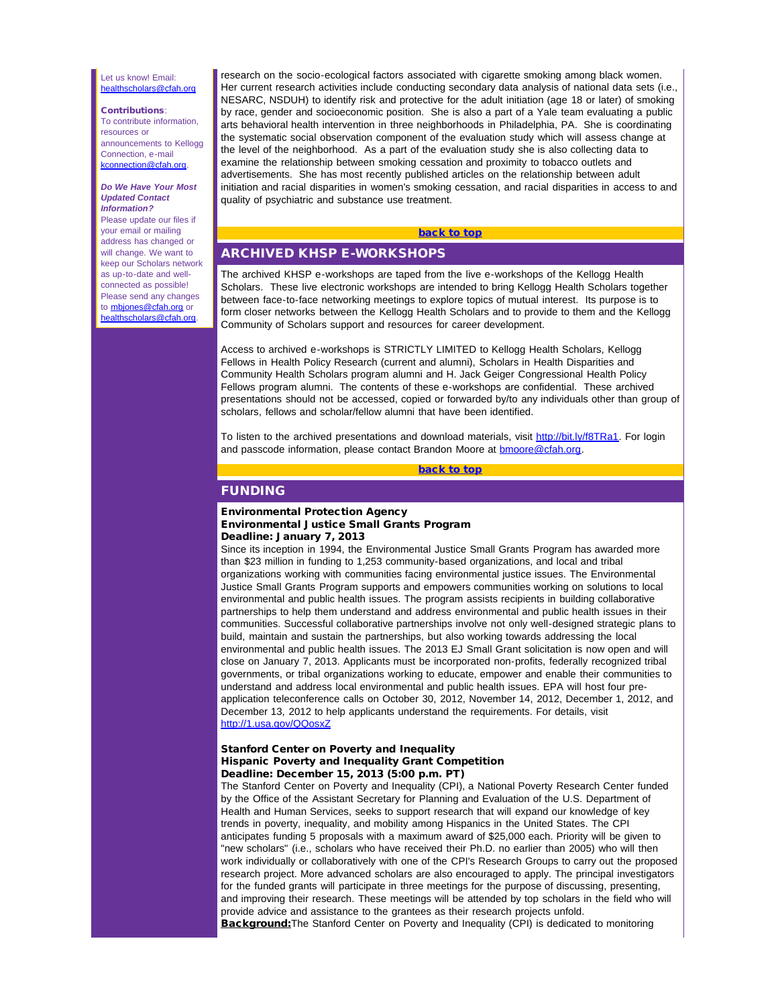#### <span id="page-1-0"></span>Let us know! Email: [healthscholars@cfah.org](mailto:healthscholars@cfah.org)

### Contributions:

To contribute information, resources or announcements to Kellogg Connection, e-mail [kconnection@cfah.org.](mailto:kconnection@cfah.org)

#### *Do We Have Your Most Updated Contact Information?* Please update our files if

<span id="page-1-1"></span>your email or mailing address has changed or will change. We want to keep our Scholars network as up-to-date and wellconnected as possible! Please send any changes to **mbjones@cfah.org** or [healthscholars@cfah.org](mailto:healthscholars@cfah.org).

research on the socio-ecological factors associated with cigarette smoking among black women. Her current research activities include conducting secondary data analysis of national data sets (i.e., NESARC, NSDUH) to identify risk and protective for the adult initiation (age 18 or later) of smoking by race, gender and socioeconomic position. She is also a part of a Yale team evaluating a public arts behavioral health intervention in three neighborhoods in Philadelphia, PA. She is coordinating the systematic social observation component of the evaluation study which will assess change at the level of the neighborhood. As a part of the evaluation study she is also collecting data to examine the relationship between smoking cessation and proximity to tobacco outlets and advertisements. She has most recently published articles on the relationship between adult initiation and racial disparities in women's smoking cessation, and racial disparities in access to and quality of psychiatric and substance use treatment.

# [back to top](#page-0-3)

# ARCHIVED KHSP E-WORKSHOPS

The archived KHSP e-workshops are taped from the live e-workshops of the Kellogg Health Scholars. These live electronic workshops are intended to bring Kellogg Health Scholars together between face-to-face networking meetings to explore topics of mutual interest. Its purpose is to form closer networks between the Kellogg Health Scholars and to provide to them and the Kellogg Community of Scholars support and resources for career development.

Access to archived e-workshops is STRICTLY LIMITED to Kellogg Health Scholars, Kellogg Fellows in Health Policy Research (current and alumni), Scholars in Health Disparities and Community Health Scholars program alumni and H. Jack Geiger Congressional Health Policy Fellows program alumni. The contents of these e-workshops are confidential. These archived presentations should not be accessed, copied or forwarded by/to any individuals other than group of scholars, fellows and scholar/fellow alumni that have been identified.

To listen to the archived presentations and download materials, visit [http://bit.ly/f8TRa1](http://r20.rs6.net/tn.jsp?e=001oOLWlYw_sit5HeE_0sGwOxgSIkXRUhrDI2OE1yc-L_U0L_jbC3p97Y4Cx4jMgHagZe5Mse-Cy0dlRGT0OvZAQYOqy4ds3mf-BktrFfTxzay7DumQ92OHK5RSMe2aMB2k19y7LgOQDjI=). For login and passcode information, please contact Brandon Moore at [bmoore@cfah.org](mailto:bmoore@cfah.org).

# [back to top](#page-0-3)

# FUNDING

#### Environmental Protection Agency Environmental Justice Small Grants Program Deadline: January 7, 2013

Since its inception in 1994, the Environmental Justice Small Grants Program has awarded more than \$23 million in funding to 1,253 community-based organizations, and local and tribal organizations working with communities facing environmental justice issues. The Environmental Justice Small Grants Program supports and empowers communities working on solutions to local environmental and public health issues. The program assists recipients in building collaborative partnerships to help them understand and address environmental and public health issues in their communities. Successful collaborative partnerships involve not only well-designed strategic plans to build, maintain and sustain the partnerships, but also working towards addressing the local environmental and public health issues. The 2013 EJ Small Grant solicitation is now open and will close on January 7, 2013. Applicants must be incorporated non-profits, federally recognized tribal governments, or tribal organizations working to educate, empower and enable their communities to understand and address local environmental and public health issues. EPA will host four preapplication teleconference calls on October 30, 2012, November 14, 2012, December 1, 2012, and December 13, 2012 to help applicants understand the requirements. For details, visit [http://1.usa.gov/QQosxZ](http://r20.rs6.net/tn.jsp?e=001oOLWlYw_sivX2FBCxNbf0eqx6xWmn6TZL7VqSatq3C_lfZn8mdgDfjJ9u-Z_Max1bdOUjTmqVL469oTaX4C49p1AsyrREkaORY-uktCU91E=)

### Stanford Center on Poverty and Inequality Hispanic Poverty and Inequality Grant Competition Deadline: December 15, 2013 (5:00 p.m. PT)

The Stanford Center on Poverty and Inequality (CPI), a National Poverty Research Center funded by the Office of the Assistant Secretary for Planning and Evaluation of the U.S. Department of Health and Human Services, seeks to support research that will expand our knowledge of key trends in poverty, inequality, and mobility among Hispanics in the United States. The CPI anticipates funding 5 proposals with a maximum award of \$25,000 each. Priority will be given to "new scholars" (i.e., scholars who have received their Ph.D. no earlier than 2005) who will then work individually or collaboratively with one of the CPI's Research Groups to carry out the proposed research project. More advanced scholars are also encouraged to apply. The principal investigators for the funded grants will participate in three meetings for the purpose of discussing, presenting, and improving their research. These meetings will be attended by top scholars in the field who will provide advice and assistance to the grantees as their research projects unfold. **Background:** The Stanford Center on Poverty and Inequality (CPI) is dedicated to monitoring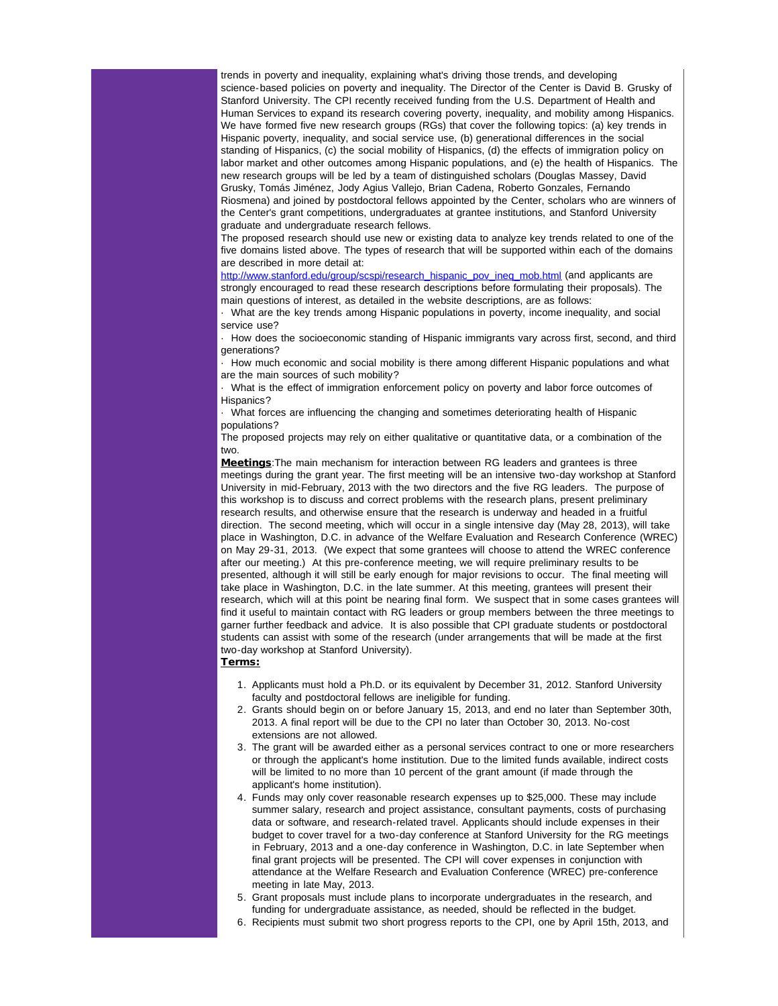trends in poverty and inequality, explaining what's driving those trends, and developing science-based policies on poverty and inequality. The Director of the Center is David B. Grusky of Stanford University. The CPI recently received funding from the U.S. Department of Health and Human Services to expand its research covering poverty, inequality, and mobility among Hispanics. We have formed five new research groups (RGs) that cover the following topics: (a) key trends in Hispanic poverty, inequality, and social service use, (b) generational differences in the social standing of Hispanics, (c) the social mobility of Hispanics, (d) the effects of immigration policy on labor market and other outcomes among Hispanic populations, and (e) the health of Hispanics. The new research groups will be led by a team of distinguished scholars (Douglas Massey, David Grusky, Tomás Jiménez, Jody Agius Vallejo, Brian Cadena, Roberto Gonzales, Fernando Riosmena) and joined by postdoctoral fellows appointed by the Center, scholars who are winners of the Center's grant competitions, undergraduates at grantee institutions, and Stanford University graduate and undergraduate research fellows.

The proposed research should use new or existing data to analyze key trends related to one of the five domains listed above. The types of research that will be supported within each of the domains are described in more detail at:

[http://www.stanford.edu/group/scspi/research\\_hispanic\\_pov\\_ineq\\_mob.html](http://r20.rs6.net/tn.jsp?e=001oOLWlYw_sivT0VZkrjLlhvqm2b1gTTVuWIEcNPKmt6dJDe2QdOqkpbhT3RfkayCN8x_GDHEpT9xgG9Ym_-OMIVqgnQEESCSbIK8tiD6zRXnH0Xnh3cXZlcfy2mI7EAV8hkRAj2bvyD6CLUoueWcP_VGyxnqrCCN0eSD3c_-OQYn0Xe4ouRQ8mrDEsMHsvnX876SwfJKKX3RqNwJdW6mXUjgQ2IAvAsLhxoxtuE1Spvs=) (and applicants are strongly encouraged to read these research descriptions before formulating their proposals). The main questions of interest, as detailed in the website descriptions, are as follows:

· What are the key trends among Hispanic populations in poverty, income inequality, and social service use?

· How does the socioeconomic standing of Hispanic immigrants vary across first, second, and third generations?

· How much economic and social mobility is there among different Hispanic populations and what are the main sources of such mobility?

· What is the effect of immigration enforcement policy on poverty and labor force outcomes of Hispanics?

· What forces are influencing the changing and sometimes deteriorating health of Hispanic populations?

The proposed projects may rely on either qualitative or quantitative data, or a combination of the two.

Meetings: The main mechanism for interaction between RG leaders and grantees is three meetings during the grant year. The first meeting will be an intensive two-day workshop at Stanford University in mid-February, 2013 with the two directors and the five RG leaders. The purpose of this workshop is to discuss and correct problems with the research plans, present preliminary research results, and otherwise ensure that the research is underway and headed in a fruitful direction. The second meeting, which will occur in a single intensive day (May 28, 2013), will take place in Washington, D.C. in advance of the Welfare Evaluation and Research Conference (WREC) on May 29-31, 2013. (We expect that some grantees will choose to attend the WREC conference after our meeting.) At this pre-conference meeting, we will require preliminary results to be presented, although it will still be early enough for major revisions to occur. The final meeting will take place in Washington, D.C. in the late summer. At this meeting, grantees will present their research, which will at this point be nearing final form. We suspect that in some cases grantees will find it useful to maintain contact with RG leaders or group members between the three meetings to garner further feedback and advice. It is also possible that CPI graduate students or postdoctoral students can assist with some of the research (under arrangements that will be made at the first two-day workshop at Stanford University).

# Terms:

- 1. Applicants must hold a Ph.D. or its equivalent by December 31, 2012. Stanford University faculty and postdoctoral fellows are ineligible for funding.
- 2. Grants should begin on or before January 15, 2013, and end no later than September 30th, 2013. A final report will be due to the CPI no later than October 30, 2013. No-cost extensions are not allowed.
- 3. The grant will be awarded either as a personal services contract to one or more researchers or through the applicant's home institution. Due to the limited funds available, indirect costs will be limited to no more than 10 percent of the grant amount (if made through the applicant's home institution).
- 4. Funds may only cover reasonable research expenses up to \$25,000. These may include summer salary, research and project assistance, consultant payments, costs of purchasing data or software, and research-related travel. Applicants should include expenses in their budget to cover travel for a two-day conference at Stanford University for the RG meetings in February, 2013 and a one-day conference in Washington, D.C. in late September when final grant projects will be presented. The CPI will cover expenses in conjunction with attendance at the Welfare Research and Evaluation Conference (WREC) pre-conference meeting in late May, 2013.
- 5. Grant proposals must include plans to incorporate undergraduates in the research, and funding for undergraduate assistance, as needed, should be reflected in the budget.
- 6. Recipients must submit two short progress reports to the CPI, one by April 15th, 2013, and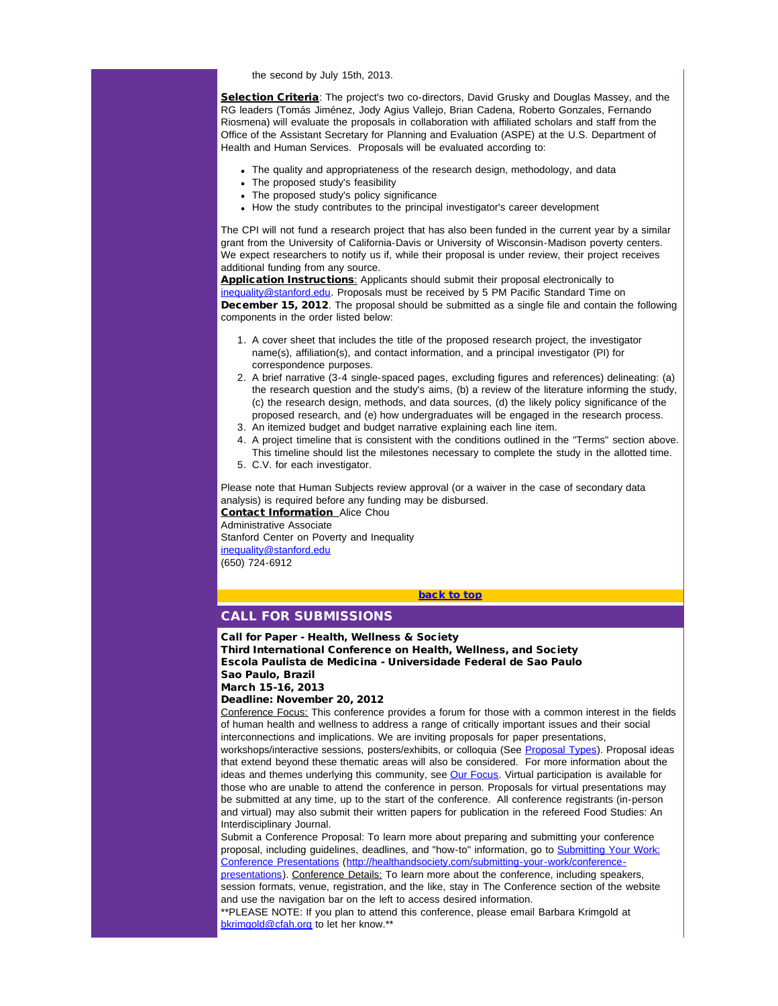the second by July 15th, 2013.

Selection Criteria: The project's two co-directors, David Grusky and Douglas Massey, and the RG leaders (Tomás Jiménez, Jody Agius Vallejo, Brian Cadena, Roberto Gonzales, Fernando Riosmena) will evaluate the proposals in collaboration with affiliated scholars and staff from the Office of the Assistant Secretary for Planning and Evaluation (ASPE) at the U.S. Department of Health and Human Services. Proposals will be evaluated according to:

- The quality and appropriateness of the research design, methodology, and data
- The proposed study's feasibility
- The proposed study's policy significance
- How the study contributes to the principal investigator's career development

The CPI will not fund a research project that has also been funded in the current year by a similar grant from the University of California-Davis or University of Wisconsin-Madison poverty centers. We expect researchers to notify us if, while their proposal is under review, their project receives additional funding from any source.

Application Instructions: Applicants should submit their proposal electronically to [inequality@stanford.edu.](mailto:inequality@stanford.edu) Proposals must be received by 5 PM Pacific Standard Time on **December 15, 2012**. The proposal should be submitted as a single file and contain the following components in the order listed below:

- 1. A cover sheet that includes the title of the proposed research project, the investigator name(s), affiliation(s), and contact information, and a principal investigator (PI) for correspondence purposes.
- 2. A brief narrative (3-4 single-spaced pages, excluding figures and references) delineating: (a) the research question and the study's aims, (b) a review of the literature informing the study, (c) the research design, methods, and data sources, (d) the likely policy significance of the proposed research, and (e) how undergraduates will be engaged in the research process.
- 3. An itemized budget and budget narrative explaining each line item.
- 4. A project timeline that is consistent with the conditions outlined in the "Terms" section above. This timeline should list the milestones necessary to complete the study in the allotted time.
- 5. C.V. for each investigator.

<span id="page-3-0"></span>Please note that Human Subjects review approval (or a waiver in the case of secondary data analysis) is required before any funding may be disbursed. **Contact Information\_Alice Chou** Administrative Associate

Stanford Center on Poverty and Inequality [inequality@stanford.edu](mailto:inequality@stanford.edu) (650) 724-6912

### [back to top](#page-0-3)

# CALL FOR SUBMISSIONS

Call for Paper - Health, Wellness & Society

Third International Conference on Health, Wellness, and Society Escola Paulista de Medicina - Universidade Federal de Sao Paulo Sao Paulo, Brazil

March 15-16, 2013

#### Deadline: November 20, 2012

Conference Focus: This conference provides a forum for those with a common interest in the fields of human health and wellness to address a range of critically important issues and their social interconnections and implications. We are inviting proposals for paper presentations,

workshops/interactive sessions, posters/exhibits, or colloquia (See [Proposal Types\)](http://r20.rs6.net/tn.jsp?e=001oOLWlYw_sit3T6E3T21xnb7t8RSLpzfzn0FhuedUTItDfvoMRfZZVX5B-esfnYS2k6eH1egdSUZ6GBSvQFibpDGbw10IPHSmaJR8JsHjt0GHi_nXMed_QrZNH6115yFxiGogIgJP08M1sOO7awrbNtqaltzPxdQNU9PNawOVvaCDax0IKeIe31AUe1YJMBiHjFkol9UjH70=). Proposal ideas that extend beyond these thematic areas will also be considered. For more information about the ideas and themes underlying this community, see [Our Focus.](http://r20.rs6.net/tn.jsp?e=001oOLWlYw_sivkl378jdY9RTvdzm_n-3rj-XSuaDu9QHuVljcWODK0k5LsoYkGkEUaG70Xkha2rz5yVsu1GRYa0oundiC2fYJ3iLD_BSHP_3sWVtTOlBT2nQgtR-FKYYXG) Virtual participation is available for those who are unable to attend the conference in person. Proposals for virtual presentations may be submitted at any time, up to the start of the conference. All conference registrants (in-person and virtual) may also submit their written papers for publication in the refereed Food Studies: An Interdisciplinary Journal.

Submit a Conference Proposal: To learn more about preparing and submitting your conference proposal, including guidelines, deadlines, and "how-to" information, go to [Submitting Your Work:](http://r20.rs6.net/tn.jsp?e=001oOLWlYw_sitfu0p0mBdi01oFgjObIO5Ile3uWUUCJsTPuTaInOD51LOKyrBrzo645YiEFx2xsAVv6vMBxWmInDqlT8TBy76Dm2x_XWMeaMBUJcK6xViQshA3XCBz-eZ1rta7jZiPE-34HTeU00NfjZRM14kWXJEzi-TGq6jqE0sOu5HFipIJUA==) [Conference Presentations](http://r20.rs6.net/tn.jsp?e=001oOLWlYw_sitfu0p0mBdi01oFgjObIO5Ile3uWUUCJsTPuTaInOD51LOKyrBrzo645YiEFx2xsAVv6vMBxWmInDqlT8TBy76Dm2x_XWMeaMBUJcK6xViQshA3XCBz-eZ1rta7jZiPE-34HTeU00NfjZRM14kWXJEzi-TGq6jqE0sOu5HFipIJUA==) ([http://healthandsociety.com/submitting-your-work/conference](http://r20.rs6.net/tn.jsp?e=001oOLWlYw_sitfu0p0mBdi01oFgjObIO5Ile3uWUUCJsTPuTaInOD51LOKyrBrzo645YiEFx2xsAVv6vMBxWmInDqlT8TBy76Dm2x_XWMeaMBUJcK6xViQshA3XCBz-eZ1rta7jZiPE-34HTeU00NfjZRM14kWXJEzi-TGq6jqE0sOu5HFipIJUA==)[presentations\)](http://r20.rs6.net/tn.jsp?e=001oOLWlYw_sitfu0p0mBdi01oFgjObIO5Ile3uWUUCJsTPuTaInOD51LOKyrBrzo645YiEFx2xsAVv6vMBxWmInDqlT8TBy76Dm2x_XWMeaMBUJcK6xViQshA3XCBz-eZ1rta7jZiPE-34HTeU00NfjZRM14kWXJEzi-TGq6jqE0sOu5HFipIJUA==). Conference Details: To learn more about the conference, including speakers,

session formats, venue, registration, and the like, stay in The Conference section of the website and use the navigation bar on the left to access desired information.

\*\*PLEASE NOTE: If you plan to attend this conference, please email Barbara Krimgold at [bkrimgold@cfah.org](mailto:bkrimgold@cfah.org) to let her know.\*\*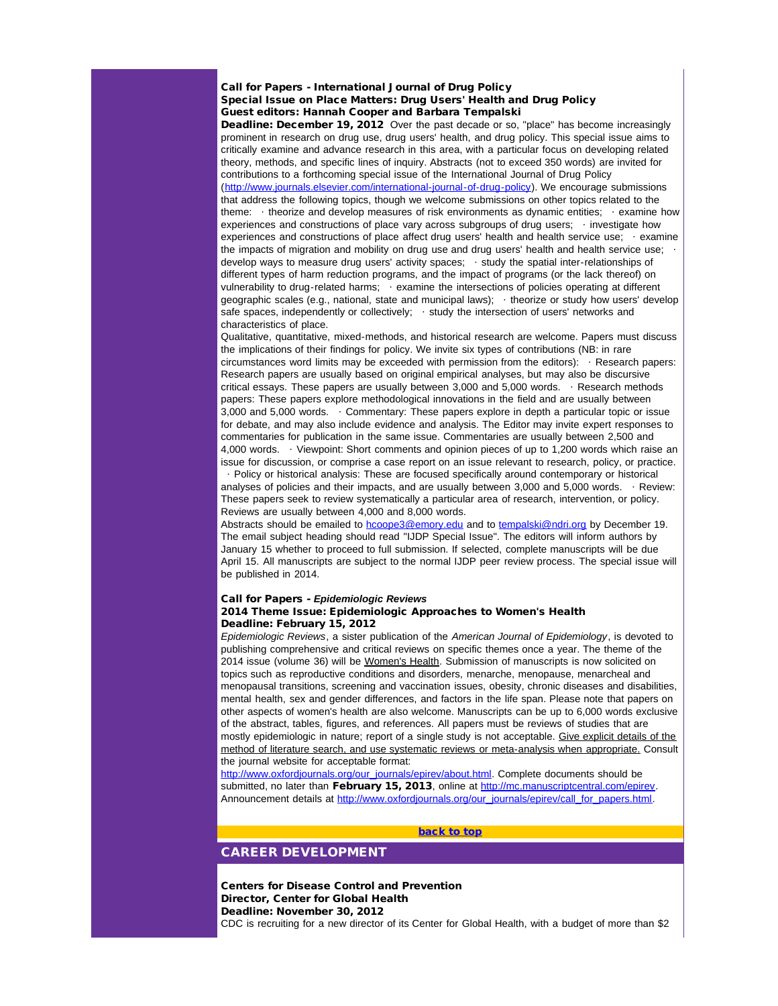### Call for Papers - International Journal of Drug Policy Special Issue on Place Matters: Drug Users' Health and Drug Policy Guest editors: Hannah Cooper and Barbara Tempalski

Deadline: December 19, 2012 Over the past decade or so, "place" has become increasingly prominent in research on drug use, drug users' health, and drug policy. This special issue aims to critically examine and advance research in this area, with a particular focus on developing related theory, methods, and specific lines of inquiry. Abstracts (not to exceed 350 words) are invited for contributions to a forthcoming special issue of the International Journal of Drug Policy ([http://www.journals.elsevier.com/international-journal-of-drug-policy](http://r20.rs6.net/tn.jsp?e=001oOLWlYw_siurEuh1v3PzoZqgnUetuNWHLQiCHlL1X5MfnGD5D9BuVYbgsjF7_Cm-hwp-FR47mjWydY9Zc9XBIz9GghMdF3211fnnKsd8cpjvV6VRFnM34sy6KIE1whw3jBCEJSZ8S6o1ODur5P4_XLU1DAL59opRzlhhHEq8V3Y=)). We encourage submissions that address the following topics, though we welcome submissions on other topics related to the theme: · theorize and develop measures of risk environments as dynamic entities; · examine how experiences and constructions of place vary across subgroups of drug users; · investigate how experiences and constructions of place affect drug users' health and health service use; · examine the impacts of migration and mobility on drug use and drug users' health and health service use; · develop ways to measure drug users' activity spaces; · study the spatial inter-relationships of different types of harm reduction programs, and the impact of programs (or the lack thereof) on vulnerability to drug-related harms; examine the intersections of policies operating at different geographic scales (e.g., national, state and municipal laws); · theorize or study how users' develop safe spaces, independently or collectively; · study the intersection of users' networks and characteristics of place.

Qualitative, quantitative, mixed-methods, and historical research are welcome. Papers must discuss the implications of their findings for policy. We invite six types of contributions (NB: in rare circumstances word limits may be exceeded with permission from the editors): · Research papers: Research papers are usually based on original empirical analyses, but may also be discursive critical essays. These papers are usually between 3,000 and 5,000 words. · Research methods papers: These papers explore methodological innovations in the field and are usually between 3,000 and 5,000 words. · Commentary: These papers explore in depth a particular topic or issue for debate, and may also include evidence and analysis. The Editor may invite expert responses to commentaries for publication in the same issue. Commentaries are usually between 2,500 and 4,000 words. · Viewpoint: Short comments and opinion pieces of up to 1,200 words which raise an issue for discussion, or comprise a case report on an issue relevant to research, policy, or practice.

· Policy or historical analysis: These are focused specifically around contemporary or historical analyses of policies and their impacts, and are usually between 3,000 and 5,000 words. · Review: These papers seek to review systematically a particular area of research, intervention, or policy. Reviews are usually between 4,000 and 8,000 words.

Abstracts should be emailed to [hcoope3@emory.edu](mailto:hcoope3@emory.edu) and to [tempalski@ndri.org](mailto:tempalski@ndri.org) by December 19. The email subject heading should read "IJDP Special Issue". The editors will inform authors by January 15 whether to proceed to full submission. If selected, complete manuscripts will be due April 15. All manuscripts are subject to the normal IJDP peer review process. The special issue will be published in 2014.

### Call for Papers - *Epidemiologic Reviews*

# 2014 Theme Issue: Epidemiologic Approaches to Women's Health Deadline: February 15, 2012

<span id="page-4-0"></span>*Epidemiologic Reviews*, a sister publication of the *American Journal of Epidemiology*, is devoted to publishing comprehensive and critical reviews on specific themes once a year. The theme of the 2014 issue (volume 36) will be Women's Health. Submission of manuscripts is now solicited on topics such as reproductive conditions and disorders, menarche, menopause, menarcheal and menopausal transitions, screening and vaccination issues, obesity, chronic diseases and disabilities, mental health, sex and gender differences, and factors in the life span. Please note that papers on other aspects of women's health are also welcome. Manuscripts can be up to 6,000 words exclusive of the abstract, tables, figures, and references. All papers must be reviews of studies that are mostly epidemiologic in nature; report of a single study is not acceptable. Give explicit details of the method of literature search, and use systematic reviews or meta-analysis when appropriate. Consult the journal website for acceptable format:

[http://www.oxfordjournals.org/our\\_journals/epirev/about.html](http://r20.rs6.net/tn.jsp?e=001oOLWlYw_siv9otcpiFH9g0ell0EsK5SoqR7o7QJQLiYTyYgVk7GIpG6KbszehCe-vljoK_7KJW9NfP9SmxyyiYM2pXZQ2m2CFblDVDRZF5V0rCKPjfP0WVdadgqr4VaW5ACxL-OJ74E5MwkRvTNrqOT2D_ZKK4Bs). Complete documents should be submitted, no later than February 15, 2013, online at [http://mc.manuscriptcentral.com/epirev](http://r20.rs6.net/tn.jsp?e=001oOLWlYw_siuTXkRb5G3_IH2aJkvHnXIpnLctrJYfPzNiqYyDT1QXgtMaG7vEFgngH2nYko_G5GoxTl7jNEoDNiwPgq6zvT_8x28vC-xnxWvjvyywwj3NaVNhoXsQmU-F). Announcement details at [http://www.oxfordjournals.org/our\\_journals/epirev/call\\_for\\_papers.html](http://r20.rs6.net/tn.jsp?e=001oOLWlYw_sitVgX_vSP2l0hiyyx9tdkuQdVBbMz_F9OKUk9-uijIDLD5H0pL4wSDvHUjQA-3Ya8gbHOKzR1Oq1ZorsxOwU-t1-yMrvJXFbs0Zgn6kBffEYDeJkkD3DUEpJSNQwM2by8ngEkK1ithgQbNSOrsXLRTxYpRryfGscYIV6xYPtEjeOA==).

# [back to top](#page-0-3)

# CAREER DEVELOPMENT

Centers for Disease Control and Prevention Director, Center for Global Health Deadline: November 30, 2012

CDC is recruiting for a new director of its Center for Global Health, with a budget of more than \$2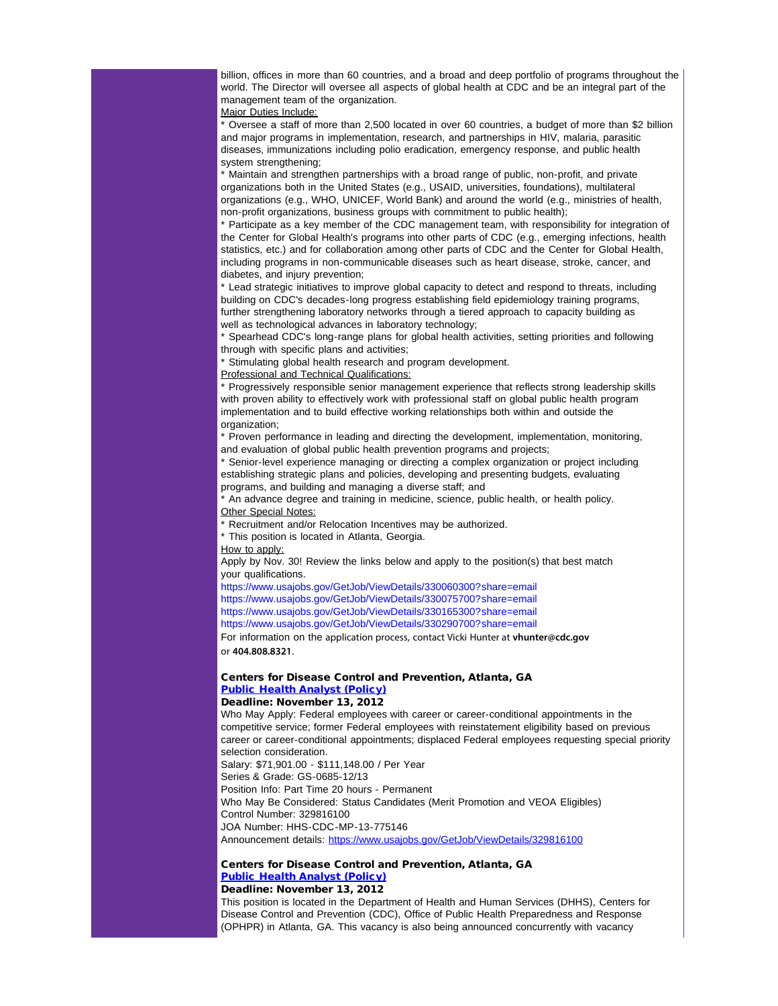billion, offices in more than 60 countries, and a broad and deep portfolio of programs throughout the world. The Director will oversee all aspects of global health at CDC and be an integral part of the management team of the organization.

Major Duties Include:

\* Oversee a staff of more than 2,500 located in over 60 countries, a budget of more than \$2 billion and major programs in implementation, research, and partnerships in HIV, malaria, parasitic diseases, immunizations including polio eradication, emergency response, and public health system strengthening;

\* Maintain and strengthen partnerships with a broad range of public, non-profit, and private organizations both in the United States (e.g., USAID, universities, foundations), multilateral organizations (e.g., WHO, UNICEF, World Bank) and around the world (e.g., ministries of health, non-profit organizations, business groups with commitment to public health);

\* Participate as a key member of the CDC management team, with responsibility for integration of the Center for Global Health's programs into other parts of CDC (e.g., emerging infections, health statistics, etc.) and for collaboration among other parts of CDC and the Center for Global Health, including programs in non-communicable diseases such as heart disease, stroke, cancer, and diabetes, and injury prevention;

\* Lead strategic initiatives to improve global capacity to detect and respond to threats, including building on CDC's decades-long progress establishing field epidemiology training programs, further strengthening laboratory networks through a tiered approach to capacity building as well as technological advances in laboratory technology;

\* Spearhead CDC's long-range plans for global health activities, setting priorities and following through with specific plans and activities;

\* Stimulating global health research and program development.

Professional and Technical Qualifications:

\* Progressively responsible senior management experience that reflects strong leadership skills with proven ability to effectively work with professional staff on global public health program implementation and to build effective working relationships both within and outside the organization;

\* Proven performance in leading and directing the development, implementation, monitoring, and evaluation of global public health prevention programs and projects;

\* Senior-level experience managing or directing a complex organization or project including establishing strategic plans and policies, developing and presenting budgets, evaluating programs, and building and managing a diverse staff; and

\* An advance degree and training in medicine, science, public health, or health policy. Other Special Notes:

\* Recruitment and/or Relocation Incentives may be authorized.

\* This position is located in Atlanta, Georgia.

How to apply:

Apply by Nov. 30! Review the links below and apply to the position(s) that best match your qualifications.

https://www.usajobs.gov/GetJob/ViewDetails/330060300?share=email https://www.usajobs.gov/GetJob/ViewDetails/330075700?share=email

https://www.usajobs.gov/GetJob/ViewDetails/330165300?share=email

https://www.usajobs.gov/GetJob/ViewDetails/330290700?share=email

For information on the application process, contact Vicki Hunter at **vhunter@cdc.gov** or **404.808.8321**.

# Centers for Disease Control and Prevention, Atlanta, GA [Public Health Analyst \(Policy\)](http://r20.rs6.net/tn.jsp?e=001oOLWlYw_sivLTQBApYkzWt1xwXmXEY9kS764xdpJeyPVBMY22atcadwnYgzdWnVqiv2aIcZYxcreoMtke3p1k2evVOBO3NEwrpCpAH8Q6OuMkzazrMT7H-MJhFHjUzUDQUZSov8sAYwwKXm6N7dhRQ==)

### Deadline: November 13, 2012

Who May Apply: Federal employees with career or career-conditional appointments in the competitive service; former Federal employees with reinstatement eligibility based on previous career or career-conditional appointments; displaced Federal employees requesting special priority selection consideration.

Salary: \$71,901.00 - \$111,148.00 / Per Year

Series & Grade: GS-0685-12/13

Position Info: Part Time 20 hours - Permanent

Who May Be Considered: Status Candidates (Merit Promotion and VEOA Eligibles) Control Number: 329816100

JOA Number: HHS-CDC-MP-13-775146

Announcement details: [https://www.usajobs.gov/GetJob/ViewDetails/329816100](http://r20.rs6.net/tn.jsp?e=001oOLWlYw_sisvdenrIN80ThScvwgL18zMpsd66piaph3i8PPxiBx0DZYTgKgbR4tOhu-sDf46qAd1L3-5ZNmDRU6tsG-bzTl-qdVy7MmxIMYRVZyFxcE3cTncF6gGu_4jeFchDNqvm1dsQSPYlAOdag==)

# Centers for Disease Control and Prevention, Atlanta, GA [Public Health Analyst \(Policy\)](http://r20.rs6.net/tn.jsp?e=001oOLWlYw_sitNSWHgIaJ0vJlNKlVaptWNL-nv6-e_ytwS2TEfepj9NbS7d0P2FcUd2BvxPMRqwH4xY9E2azLUNn6O1ZxviDYBJVZ1ijTHDMLXL2bSQBez6Cl_bDks_2AugjSO-XLvw_a-q9G4mmuRTw==)

# Deadline: November 13, 2012

This position is located in the Department of Health and Human Services (DHHS), Centers for Disease Control and Prevention (CDC), Office of Public Health Preparedness and Response (OPHPR) in Atlanta, GA. This vacancy is also being announced concurrently with vacancy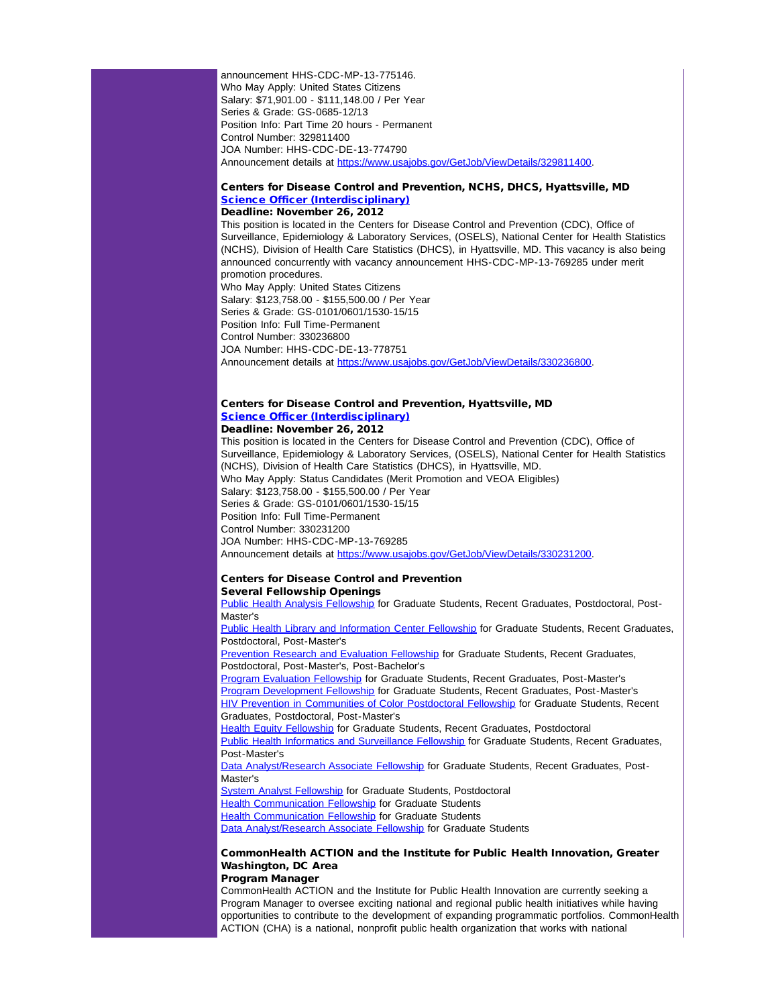announcement HHS-CDC-MP-13-775146. Who May Apply: United States Citizens Salary: \$71,901.00 - \$111,148.00 / Per Year Series & Grade: GS-0685-12/13 Position Info: Part Time 20 hours - Permanent Control Number: 329811400 JOA Number: HHS-CDC-DE-13-774790 Announcement details at [https://www.usajobs.gov/GetJob/ViewDetails/329811400](http://r20.rs6.net/tn.jsp?e=001oOLWlYw_siuPBWKz8CVyU4C5tMlZmC4ELOWAVIh5IoIAev7CSWZyXhDVVObq6i-wjheVjd4a8om4Sxkcei9n9qAib1zLR6IiLl1aXpd-UVOxpeg2txuhzvW-uWtKdSJ0JNEDxJGGfgW_gK03XCQP6A==).

# Centers for Disease Control and Prevention, NCHS, DHCS, Hyattsville, MD [Science Officer \(Interdisciplinary\)](http://r20.rs6.net/tn.jsp?e=001oOLWlYw_sis5GrRqjVtGEhU10-gPkSpHsNQJy4WsE06TOQnKD1XL6_NYAq01DnvCpKnAObybPF2rQLfIz7HYcglemBvRHDExV309kXxpzFa2l0bXu2bfnCUVauVHWsEYcxb1uM3je-Wzp-Y4vjUvWQ==)

# Deadline: November 26, 2012

This position is located in the Centers for Disease Control and Prevention (CDC), Office of Surveillance, Epidemiology & Laboratory Services, (OSELS), National Center for Health Statistics (NCHS), Division of Health Care Statistics (DHCS), in Hyattsville, MD. This vacancy is also being announced concurrently with vacancy announcement HHS-CDC-MP-13-769285 under merit promotion procedures.

Who May Apply: United States Citizens Salary: \$123,758.00 - \$155,500.00 / Per Year Series & Grade: GS-0101/0601/1530-15/15 Position Info: Full Time-Permanent Control Number: 330236800 JOA Number: HHS-CDC-DE-13-778751 Announcement details at [https://www.usajobs.gov/GetJob/ViewDetails/330236800](http://r20.rs6.net/tn.jsp?e=001oOLWlYw_sivItdBxRF8f5sbamEjKGxrYPsTusO2_e6jiR0tDCPB_Qhqfkb9bmfkrAl7vBuawODmjMpby7W0nfnUnpEcdH57-jihj8iaTE7RAwdgF-ITSlNh1QOC3IfM2x4oavoxoPiJftf5TK20cdQ==).

# Centers for Disease Control and Prevention, Hyattsville, MD **[Science Officer \(Interdisciplinary\)](http://r20.rs6.net/tn.jsp?e=001oOLWlYw_sisBwAmEl4XqSlJLoXgtFAcw1W2taXWi6apcnE8H3a9Oag3SJLbchtY9PzWiQI26AFzAczJ2FP-LYSzhnQ71F8Ew2iuO5doVK-38JXlPs5ZSLCHAQemx66z7e1HrOPnMDXFq3uO3zEMmNg==)**

### Deadline: November 26, 2012

This position is located in the Centers for Disease Control and Prevention (CDC), Office of Surveillance, Epidemiology & Laboratory Services, (OSELS), National Center for Health Statistics (NCHS), Division of Health Care Statistics (DHCS), in Hyattsville, MD. Who May Apply: Status Candidates (Merit Promotion and VEOA Eligibles) Salary: \$123,758.00 - \$155,500.00 / Per Year Series & Grade: GS-0101/0601/1530-15/15 Position Info: Full Time-Permanent Control Number: 330231200 JOA Number: HHS-CDC-MP-13-769285 Announcement details at [https://www.usajobs.gov/GetJob/ViewDetails/330231200](http://r20.rs6.net/tn.jsp?e=001oOLWlYw_sisDDadlwiiFFeDxFRDVzRcAmdnrVrj_PsZhDQY75ONlsybnbttnkAMiu24kpz9PM6gtKovRJfPBdTcJ7zuKbGYcggkaIzYUOkpf9XdhQWrYTs3fhXvl0cV-QUCtmudvLQb4aEGKCchWfA==).

# Centers for Disease Control and Prevention

### Several Fellowship Openings

[Public Health Analysis Fellowship](http://r20.rs6.net/tn.jsp?e=001oOLWlYw_sit9u1KnSlxnAY-1liBzl1t8PNiB7cV2i3O8mmHv6i0fZa6k12M355i8Nn82IuPOdhlIgiND5zymsVQ7ksXq0WwJwX8MvFDBckFyoC-d8VWkf_wZNDZ-xPHIgrTHEOleWUzKblAUNKKC6t8N24MQzlt21t2X23rq8dnsMKkz919tnQ==) for Graduate Students, Recent Graduates, Postdoctoral, Post-Master's

[Public Health Library and Information Center Fellowship](http://r20.rs6.net/tn.jsp?e=001oOLWlYw_sit5MvTnjUZUNXvvhLwO4P5J3SMXAXRjaSAivJiTrFDZXxHTJm911tnJKJT6vcwv_vhxSjEuwYkOAYgkM0g9jU6TVbpeK8XrZJYZiSMk84cCACYs-Af4GFovrEUxTCcVHztFSC1EC51GGi7IW_I8W1hTcmJytJhKfJJimryZZ-862Q==) for Graduate Students, Recent Graduates, Postdoctoral, Post-Master's

[Prevention Research and Evaluation Fellowship](http://r20.rs6.net/tn.jsp?e=001oOLWlYw_sitOgQ1K33nB_flA4hsQpxd3FPPLd-OYFInm6FlA7Gh6_UiKDwd5v-gOOsu_Jwi7btmcl6ipm0rwX5pAwIkj_2MLsvjVrylfX2q-Z4rb3nwyuEzgCk7WLhHiTnT6ZBOh6rzq7Nnrqa6Ap1B9M7813rysbe-GvYCE_q4BJuFgxWgYmQ==) for Graduate Students, Recent Graduates, Postdoctoral, Post-Master's, Post-Bachelor's

[Program Evaluation Fellowship](http://r20.rs6.net/tn.jsp?e=001oOLWlYw_siueszPlxaTZsgzOT-XkaUHkENNZy-yBXf_8qOH1jVGPhm0KsF3uJtAFNKYVqKP3f2QPkwrFriv-GQvcYY8ixsa2B-MV-z2KVcMJiio-m_hrTNbp8GWy-Ixm_LJJvaLv4dzehuDl_O2_dWpgdFFq9twD4TAfE4XOrH-DhuP7p7iQxQ==) for Graduate Students, Recent Graduates, Post-Master's [Program Development Fellowship](http://r20.rs6.net/tn.jsp?e=001oOLWlYw_siv-XOGE1mTa6Cf6BK78LWRmtQvpowpyron9TVQLXN2iQ51DopPnHlo0INFL04KiUmHyjg1FIHAQPPr_YVRQuCATWD2z2Xst4Z4XvYkijR7LyWMV_Bm8Q0wmsBXuB55S-CSmAo-MK6SDLc_s3OWTLe_xU0AwJh7AImT8mTh-rgFqZg==) for Graduate Students, Recent Graduates, Post-Master's **[HIV Prevention in Communities of Color Postdoctoral Fellowship](http://r20.rs6.net/tn.jsp?e=001oOLWlYw_sivWfffJqJ1meTy-_ecFWHm3mh-7qRTtRftFw39sXXLwyFVP290_y3XLNgrsbxdcAUuv_IXaspL3yi_CZX-FK5YZos4ecbmwXgGGwug6Gh8MePdG-4fkDuiU8Y4lH8kWEEO0Oel8AGZUCmC2n-dJnv1K4SYV5tpMTeAjVkiX-7mi-Q==) for Graduate Students, Recent** Graduates, Postdoctoral, Post-Master's

**[Health Equity Fellowship](http://r20.rs6.net/tn.jsp?e=001oOLWlYw_sisfZC0rYDJsR1IubMlibozsIFFyaAxl7PzzeT-45LZAPe1QWPEbYWbXN8hijWR27l7CmUBm6oW1OkVYmsElIsyquGGR6E5hic3FGfSJy3CmZVJdpF13leb8hsvHIZ5s_hF_rPuD9dHIhYjuKZwGn79sE19-F_Jl7a0pcgOYfETl5g==) for Graduate Students, Recent Graduates, Postdoctoral** [Public Health Informatics and Surveillance Fellowship](http://r20.rs6.net/tn.jsp?e=001oOLWlYw_sitjOKqjMXJhxl3ZVeKO7WokaXmFq-dD8z7gWhGIDkDdESHWGAvvXo5gyLoKmorKoosVnk_2mvHZ-vVhqdxYQnmLuzf5HDjg4Fu1Kvsp7AFOASc1jrhtMxdg5U7GhOryixd7P0ePl3nlI61GDyqspH7xCZxK_HUf17GVywsjSgUfbw==) for Graduate Students, Recent Graduates, Post-Master's

[Data Analyst/Research Associate Fellowship](http://r20.rs6.net/tn.jsp?e=001oOLWlYw_siuST5emkG1d3q7KjId2ILWYWH8aKo0N4QfknQx6XZaFVlbrbO52ixTysGRaWGAcNJkXk1vG6MTWpNYS5wk73P43gIYIvzwDS5mdHpnKWw1NVfTy3GvnvA8blNSCxkwIUE8ZdGsKUV37olMPmMJTEapdyQKPzitiWju04kPHhWwcxg==) for Graduate Students, Recent Graduates, Post-Master's

**[System Analyst Fellowship](http://r20.rs6.net/tn.jsp?e=001oOLWlYw_sisnB2Oal_epum7WUbjT0DtH1Eq_XgvWVyo-XER_jDjxyFb1DiH-Bk4hnf3L_KlEaectz61x6eItarU59IyAtj1eTH_zievKn-gaJXGeqOzTguTMCnhmiDwbMzX44OwIOMCkKcRfe8lICTgYmBsnVhTFJ-pixr_32tRh2fTm4E5dOw==)** for Graduate Students, Postdoctoral **[Health Communication Fellowship](http://r20.rs6.net/tn.jsp?e=001oOLWlYw_sit1btciIogsZNc40dnyLMIDRNJq7XMXxgVpVus-1OdB_Z-1QSm8Rn-pg8sq0bSXwMHHZ7gI9Aq6d_7wizDULe2k-3iCNcCWCRBigyfeZVmFIDC7RVW4bMOeR1ivQGFxu7-xDz1eo1m0WaQMDfxUrMUL2VS-HsLn2L8Dku8hX0ZzLg==) for Graduate Students [Health Communication Fellowship](http://r20.rs6.net/tn.jsp?e=001oOLWlYw_siurchPJGZHsOuFeqXeC69kiXLUjfOSy-6b9i5VzQGdyyPj14KnzX4qtgk5_PX5N3My-m-NmJnz-wyn9B_xjKJi2vg9mWsrAQ1JbPWNZVln7WR877i4-DTK6OuMGyBriHJbt_B8ydBKHr8LyL-Mvmy-5TQsy01PJV9UusY50WXs8IA==) for Graduate Students** [Data Analyst/Research Associate Fellowship](http://r20.rs6.net/tn.jsp?e=001oOLWlYw_sisJutaqK_Y6B3YDbqOtooZk4YkFIJdvNK2j1h8zxc2Q-M_3lHkKEmSrB3bwVa7B3qe2107FMIKEN-zWoNvdRpJ25Vr3sZrV4R13e-n7WbXLgddpV3CkSDGCCwI-eNfwI2SQFCUi7cUJGvhSwGikTTpUKJPFbcNYR14rjUJtqb-jAA==) for Graduate Students

### CommonHealth ACTION and the Institute for Public Health Innovation, Greater Washington, DC Area Program Manager

CommonHealth ACTION and the Institute for Public Health Innovation are currently seeking a Program Manager to oversee exciting national and regional public health initiatives while having opportunities to contribute to the development of expanding programmatic portfolios. CommonHealth ACTION (CHA) is a national, nonprofit public health organization that works with national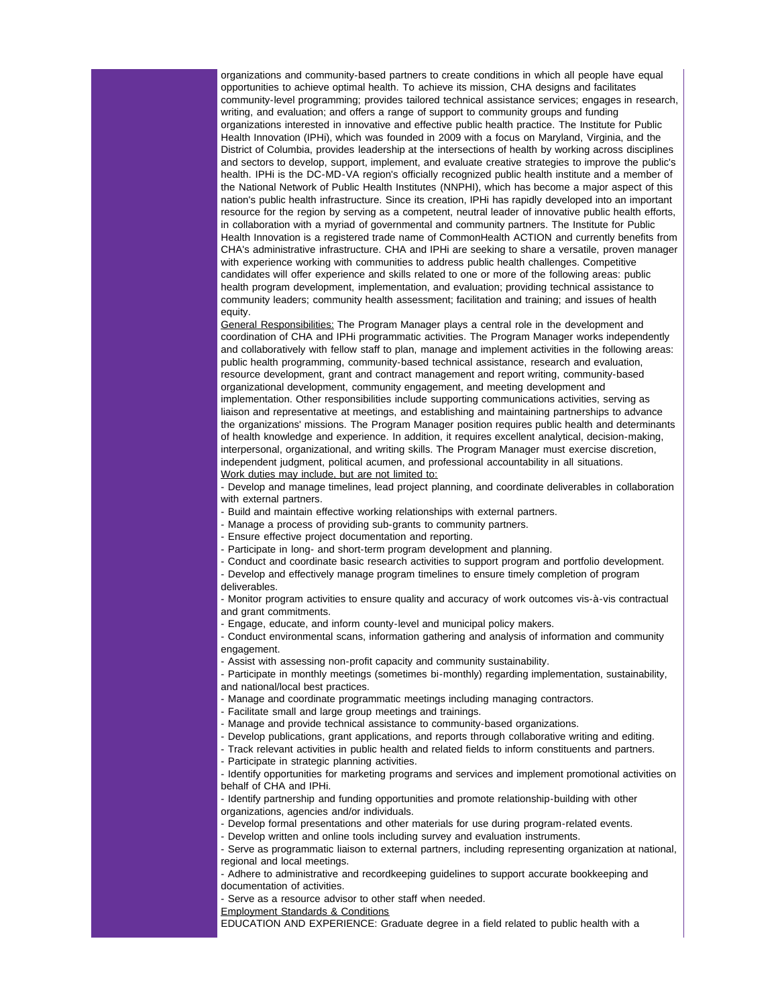organizations and community-based partners to create conditions in which all people have equal opportunities to achieve optimal health. To achieve its mission, CHA designs and facilitates community-level programming; provides tailored technical assistance services; engages in research, writing, and evaluation; and offers a range of support to community groups and funding organizations interested in innovative and effective public health practice. The Institute for Public Health Innovation (IPHi), which was founded in 2009 with a focus on Maryland, Virginia, and the District of Columbia, provides leadership at the intersections of health by working across disciplines and sectors to develop, support, implement, and evaluate creative strategies to improve the public's health. IPHi is the DC-MD-VA region's officially recognized public health institute and a member of the National Network of Public Health Institutes (NNPHI), which has become a major aspect of this nation's public health infrastructure. Since its creation, IPHi has rapidly developed into an important resource for the region by serving as a competent, neutral leader of innovative public health efforts, in collaboration with a myriad of governmental and community partners. The Institute for Public Health Innovation is a registered trade name of CommonHealth ACTION and currently benefits from CHA's administrative infrastructure. CHA and IPHi are seeking to share a versatile, proven manager with experience working with communities to address public health challenges. Competitive candidates will offer experience and skills related to one or more of the following areas: public health program development, implementation, and evaluation; providing technical assistance to community leaders; community health assessment; facilitation and training; and issues of health equity.

General Responsibilities: The Program Manager plays a central role in the development and coordination of CHA and IPHi programmatic activities. The Program Manager works independently and collaboratively with fellow staff to plan, manage and implement activities in the following areas: public health programming, community-based technical assistance, research and evaluation, resource development, grant and contract management and report writing, community-based organizational development, community engagement, and meeting development and implementation. Other responsibilities include supporting communications activities, serving as liaison and representative at meetings, and establishing and maintaining partnerships to advance the organizations' missions. The Program Manager position requires public health and determinants of health knowledge and experience. In addition, it requires excellent analytical, decision-making, interpersonal, organizational, and writing skills. The Program Manager must exercise discretion, independent judgment, political acumen, and professional accountability in all situations. Work duties may include, but are not limited to:

- Develop and manage timelines, lead project planning, and coordinate deliverables in collaboration with external partners.

- Build and maintain effective working relationships with external partners.
- Manage a process of providing sub-grants to community partners.
- Ensure effective project documentation and reporting.
- Participate in long- and short-term program development and planning.
- Conduct and coordinate basic research activities to support program and portfolio development.
- Develop and effectively manage program timelines to ensure timely completion of program deliverables.

- Monitor program activities to ensure quality and accuracy of work outcomes vis-à-vis contractual and grant commitments.

- Engage, educate, and inform county-level and municipal policy makers.

- Conduct environmental scans, information gathering and analysis of information and community engagement.

- Assist with assessing non-profit capacity and community sustainability.

- Participate in monthly meetings (sometimes bi-monthly) regarding implementation, sustainability, and national/local best practices.

- Manage and coordinate programmatic meetings including managing contractors.
- Facilitate small and large group meetings and trainings.
- Manage and provide technical assistance to community-based organizations.
- Develop publications, grant applications, and reports through collaborative writing and editing.
- Track relevant activities in public health and related fields to inform constituents and partners.
- Participate in strategic planning activities.

- Identify opportunities for marketing programs and services and implement promotional activities on behalf of CHA and IPHi.

- Identify partnership and funding opportunities and promote relationship-building with other
- organizations, agencies and/or individuals.
- Develop formal presentations and other materials for use during program-related events.
- Develop written and online tools including survey and evaluation instruments.
- Serve as programmatic liaison to external partners, including representing organization at national, regional and local meetings.
- Adhere to administrative and recordkeeping guidelines to support accurate bookkeeping and
- documentation of activities.
- Serve as a resource advisor to other staff when needed.
- Employment Standards & Conditions
- EDUCATION AND EXPERIENCE: Graduate degree in a field related to public health with a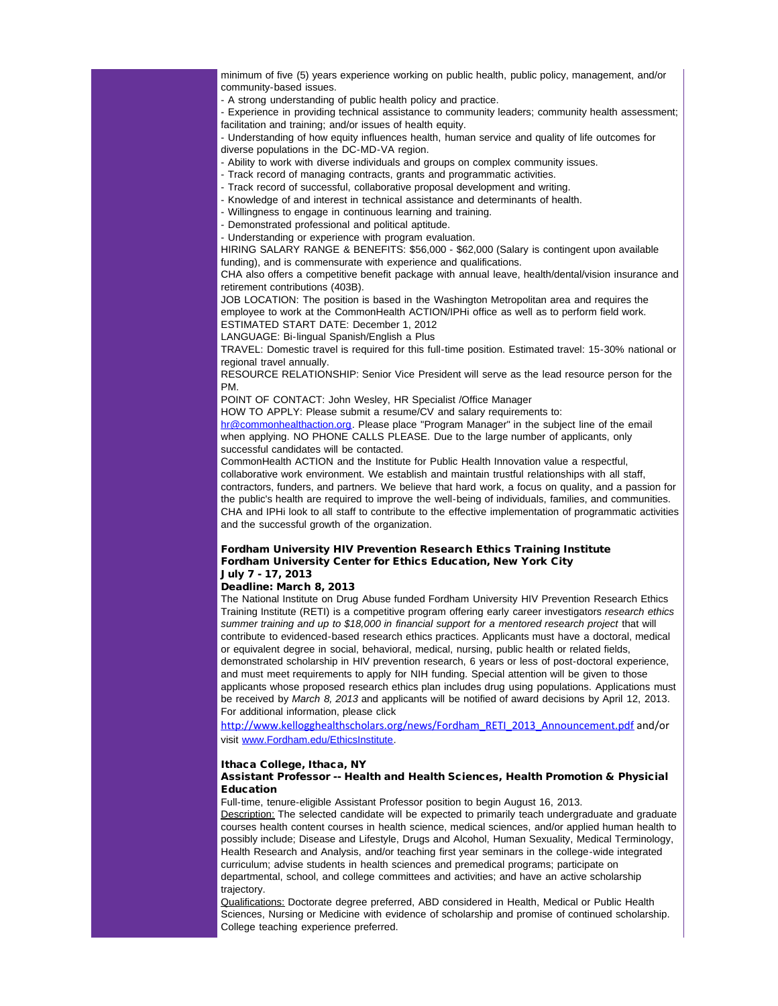minimum of five (5) years experience working on public health, public policy, management, and/or community-based issues.

- A strong understanding of public health policy and practice.

- Experience in providing technical assistance to community leaders; community health assessment; facilitation and training; and/or issues of health equity.

- Understanding of how equity influences health, human service and quality of life outcomes for diverse populations in the DC-MD-VA region.

- Ability to work with diverse individuals and groups on complex community issues.

- Track record of managing contracts, grants and programmatic activities.
- Track record of successful, collaborative proposal development and writing.
- Knowledge of and interest in technical assistance and determinants of health.
- Willingness to engage in continuous learning and training.

- Demonstrated professional and political aptitude.

- Understanding or experience with program evaluation.

HIRING SALARY RANGE & BENEFITS: \$56,000 - \$62,000 (Salary is contingent upon available funding), and is commensurate with experience and qualifications.

CHA also offers a competitive benefit package with annual leave, health/dental/vision insurance and retirement contributions (403B).

JOB LOCATION: The position is based in the Washington Metropolitan area and requires the employee to work at the CommonHealth ACTION/IPHi office as well as to perform field work. ESTIMATED START DATE: December 1, 2012

LANGUAGE: Bi-lingual Spanish/English a Plus

TRAVEL: Domestic travel is required for this full-time position. Estimated travel: 15-30% national or regional travel annually.

RESOURCE RELATIONSHIP: Senior Vice President will serve as the lead resource person for the PM.

POINT OF CONTACT: John Wesley, HR Specialist /Office Manager

HOW TO APPLY: Please submit a resume/CV and salary requirements to:

[hr@commonhealthaction.org](mailto:hr@commonhealthaction.org). Please place "Program Manager" in the subject line of the email when applying. NO PHONE CALLS PLEASE. Due to the large number of applicants, only successful candidates will be contacted.

CommonHealth ACTION and the Institute for Public Health Innovation value a respectful, collaborative work environment. We establish and maintain trustful relationships with all staff, contractors, funders, and partners. We believe that hard work, a focus on quality, and a passion for the public's health are required to improve the well-being of individuals, families, and communities. CHA and IPHi look to all staff to contribute to the effective implementation of programmatic activities and the successful growth of the organization.

### Fordham University HIV Prevention Research Ethics Training Institute Fordham University Center for Ethics Education, New York City July 7 - 17, 2013

## Deadline: March 8, 2013

The National Institute on Drug Abuse funded Fordham University HIV Prevention Research Ethics Training Institute (RETI) is a competitive program offering early career investigators *research ethics summer training and up to \$18,000 in financial support for a mentored research project* that will contribute to evidenced-based research ethics practices. Applicants must have a doctoral, medical or equivalent degree in social, behavioral, medical, nursing, public health or related fields, demonstrated scholarship in HIV prevention research, 6 years or less of post-doctoral experience, and must meet requirements to apply for NIH funding. Special attention will be given to those applicants whose proposed research ethics plan includes drug using populations. Applications must be received by *March 8, 2013* and applicants will be notified of award decisions by April 12, 2013. For additional information, please click

[http://www.kellogghealthscholars.org/news/Fordham\\_RETI\\_2013\\_Announcement.pdf](http://r20.rs6.net/tn.jsp?e=001oOLWlYw_siuO6Ae4oINtrCvm9JusvTPB2DbFiDlcxKb_2rkquJPgBFNFQJW7Kh-YOyj16NnvFFh_LKX1H-EE8WWYHqKI3A5MwDlUpRjhttJVJ5jNvtFJLlE5FoS5bBe_m5dsY5X1Yzh23tfRJCwNGdueS_XPo1HSrRuAkjatjpjAmFUKCBuShw==) and/or visit [www.Fordham.edu/EthicsInstitute.](http://r20.rs6.net/tn.jsp?e=001oOLWlYw_siua9nXMo-uZMr8y-fdvzls1VJ6nVSU2I1dRtHrYA9TOBEGzp_eIa2f37ke8GP3T4DceXQ2WyIFLoQz3kAI7RzFwY17OOSiaMSA9exczNpLq0lpEDvrcxeX8)

#### Ithaca College, Ithaca, NY

## Assistant Professor -- Health and Health Sciences, Health Promotion & Physicial Education

Full-time, tenure-eligible Assistant Professor position to begin August 16, 2013.

Description: The selected candidate will be expected to primarily teach undergraduate and graduate courses health content courses in health science, medical sciences, and/or applied human health to possibly include; Disease and Lifestyle, Drugs and Alcohol, Human Sexuality, Medical Terminology, Health Research and Analysis, and/or teaching first year seminars in the college-wide integrated curriculum; advise students in health sciences and premedical programs; participate on departmental, school, and college committees and activities; and have an active scholarship trajectory.

Qualifications: Doctorate degree preferred, ABD considered in Health, Medical or Public Health Sciences, Nursing or Medicine with evidence of scholarship and promise of continued scholarship. College teaching experience preferred.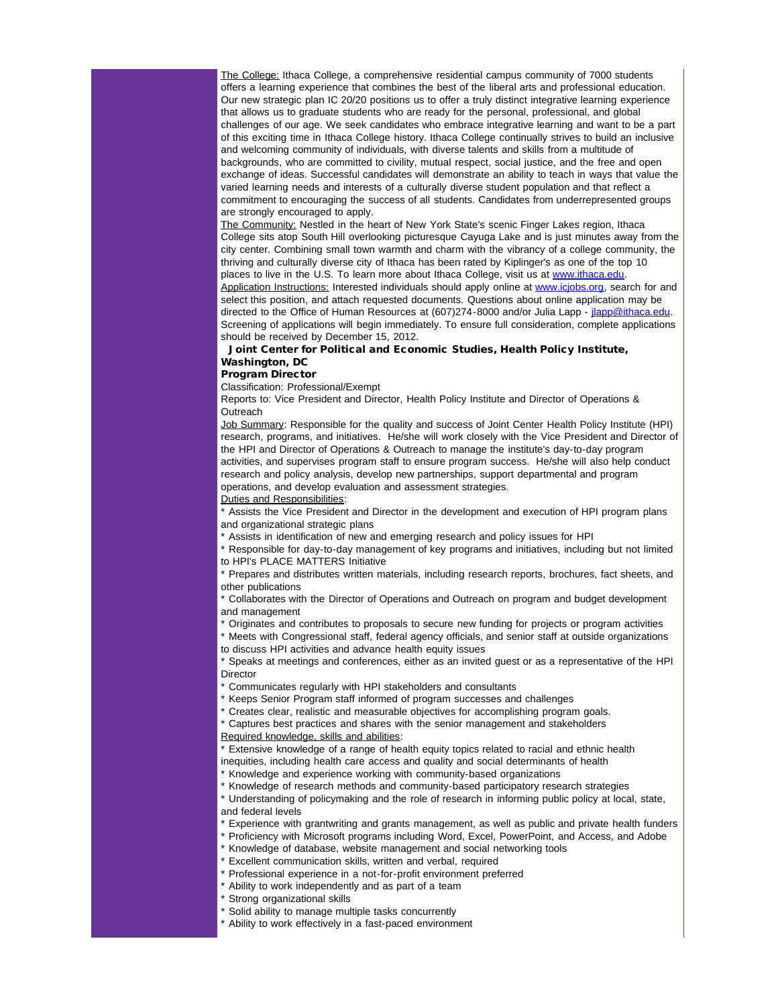The College: Ithaca College, a comprehensive residential campus community of 7000 students offers a learning experience that combines the best of the liberal arts and professional education. Our new strategic plan IC 20/20 positions us to offer a truly distinct integrative learning experience that allows us to graduate students who are ready for the personal, professional, and global challenges of our age. We seek candidates who embrace integrative learning and want to be a part of this exciting time in Ithaca College history. Ithaca College continually strives to build an inclusive and welcoming community of individuals, with diverse talents and skills from a multitude of backgrounds, who are committed to civility, mutual respect, social justice, and the free and open exchange of ideas. Successful candidates will demonstrate an ability to teach in ways that value the varied learning needs and interests of a culturally diverse student population and that reflect a commitment to encouraging the success of all students. Candidates from underrepresented groups are strongly encouraged to apply.

The Community: Nestled in the heart of New York State's scenic Finger Lakes region, Ithaca College sits atop South Hill overlooking picturesque Cayuga Lake and is just minutes away from the city center. Combining small town warmth and charm with the vibrancy of a college community, the thriving and culturally diverse city of Ithaca has been rated by Kiplinger's as one of the top 10 places to live in the U.S. To learn more about Ithaca College, visit us at [www.ithaca.edu.](http://r20.rs6.net/tn.jsp?e=001oOLWlYw_sitQCfiZx4zA1YN8SwBuw2AOhOpBFMrp8mxba2in0DZpqoX8FC9eTZqmofe_v8YLtoohWcBWbe4fvbq7z7h5btT00Sy3etiHpt4=) Application Instructions: Interested individuals should apply online at [www.icjobs.org](http://r20.rs6.net/tn.jsp?e=001oOLWlYw_sitQJyo38E_5EN90wt-hYCYMXmJn1vJI5GecU7_f7W8igNtGyqX5NwcSXplYinVfv835-26NKNyoSp5XXTAl9DHf_Xn1XO65N3M=), search for and select this position, and attach requested documents. Questions about online application may be directed to the Office of Human Resources at (607)274-8000 and/or Julia Lapp - [jlapp@ithaca.edu.](mailto:jlapp@ithaca.edu)

Screening of applications will begin immediately. To ensure full consideration, complete applications should be received by December 15, 2012.

# Joint Center for Political and Economic Studies, Health Policy Institute, Washington, DC

# Program Director

Classification: Professional/Exempt

Reports to: Vice President and Director, Health Policy Institute and Director of Operations & **Outreach** 

Job Summary: Responsible for the quality and success of Joint Center Health Policy Institute (HPI) research, programs, and initiatives. He/she will work closely with the Vice President and Director of the HPI and Director of Operations & Outreach to manage the institute's day-to-day program activities, and supervises program staff to ensure program success. He/she will also help conduct research and policy analysis, develop new partnerships, support departmental and program operations, and develop evaluation and assessment strategies.

Duties and Responsibilities:

\* Assists the Vice President and Director in the development and execution of HPI program plans and organizational strategic plans

Assists in identification of new and emerging research and policy issues for HPI

Responsible for day-to-day management of key programs and initiatives, including but not limited to HPI's PLACE MATTERS Initiative

\* Prepares and distributes written materials, including research reports, brochures, fact sheets, and other publications

\* Collaborates with the Director of Operations and Outreach on program and budget development and management

\* Originates and contributes to proposals to secure new funding for projects or program activities

Meets with Congressional staff, federal agency officials, and senior staff at outside organizations to discuss HPI activities and advance health equity issues

\* Speaks at meetings and conferences, either as an invited guest or as a representative of the HPI **Director** 

Communicates regularly with HPI stakeholders and consultants

Keeps Senior Program staff informed of program successes and challenges

Creates clear, realistic and measurable objectives for accomplishing program goals.

Captures best practices and shares with the senior management and stakeholders

Required knowledge, skills and abilities:

Extensive knowledge of a range of health equity topics related to racial and ethnic health

inequities, including health care access and quality and social determinants of health

Knowledge and experience working with community-based organizations

Knowledge of research methods and community-based participatory research strategies

Understanding of policymaking and the role of research in informing public policy at local, state, and federal levels

Experience with grantwriting and grants management, as well as public and private health funders

Proficiency with Microsoft programs including Word, Excel, PowerPoint, and Access, and Adobe

\* Knowledge of database, website management and social networking tools

Excellent communication skills, written and verbal, required

Professional experience in a not-for-profit environment preferred

Ability to work independently and as part of a team

Strong organizational skills

Solid ability to manage multiple tasks concurrently

Ability to work effectively in a fast-paced environment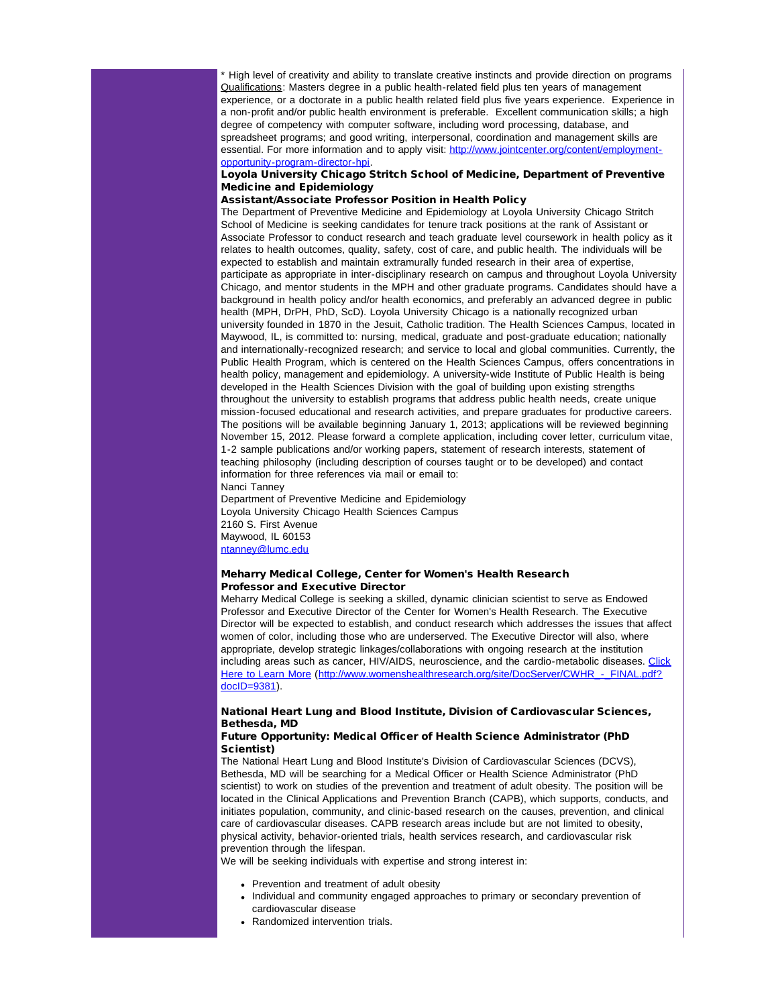\* High level of creativity and ability to translate creative instincts and provide direction on programs Qualifications: Masters degree in a public health-related field plus ten years of management experience, or a doctorate in a public health related field plus five years experience. Experience in a non-profit and/or public health environment is preferable. Excellent communication skills; a high degree of competency with computer software, including word processing, database, and spreadsheet programs; and good writing, interpersonal, coordination and management skills are essential. For more information and to apply visit: [http://www.jointcenter.org/content/employment](http://r20.rs6.net/tn.jsp?e=001oOLWlYw_sisy4j4jB4XWoex_3c30BIu6pnfkTliqaB32nK-BL_63K7ljVBpQnd8mQ70kqPDXxLoiQp8YHYdsSoe2VMjSkEkUOCIDCDrKMNWU44g6VG0mEk_0ZeHBddsI9TP25XWtFCAO_fzVfzRK7gBdUzNMosb-8OlXltzfpgMszoOVlgfs0g==)[opportunity-program-director-hpi](http://r20.rs6.net/tn.jsp?e=001oOLWlYw_sisy4j4jB4XWoex_3c30BIu6pnfkTliqaB32nK-BL_63K7ljVBpQnd8mQ70kqPDXxLoiQp8YHYdsSoe2VMjSkEkUOCIDCDrKMNWU44g6VG0mEk_0ZeHBddsI9TP25XWtFCAO_fzVfzRK7gBdUzNMosb-8OlXltzfpgMszoOVlgfs0g==).

# Loyola University Chicago Stritch School of Medicine, Department of Preventive Medicine and Epidemiology

# Assistant/Associate Professor Position in Health Policy

The Department of Preventive Medicine and Epidemiology at Loyola University Chicago Stritch School of Medicine is seeking candidates for tenure track positions at the rank of Assistant or Associate Professor to conduct research and teach graduate level coursework in health policy as it relates to health outcomes, quality, safety, cost of care, and public health. The individuals will be expected to establish and maintain extramurally funded research in their area of expertise, participate as appropriate in inter-disciplinary research on campus and throughout Loyola University Chicago, and mentor students in the MPH and other graduate programs. Candidates should have a background in health policy and/or health economics, and preferably an advanced degree in public health (MPH, DrPH, PhD, ScD). Loyola University Chicago is a nationally recognized urban university founded in 1870 in the Jesuit, Catholic tradition. The Health Sciences Campus, located in Maywood, IL, is committed to: nursing, medical, graduate and post-graduate education; nationally and internationally-recognized research; and service to local and global communities. Currently, the Public Health Program, which is centered on the Health Sciences Campus, offers concentrations in health policy, management and epidemiology. A university-wide Institute of Public Health is being developed in the Health Sciences Division with the goal of building upon existing strengths throughout the university to establish programs that address public health needs, create unique mission-focused educational and research activities, and prepare graduates for productive careers. The positions will be available beginning January 1, 2013; applications will be reviewed beginning November 15, 2012. Please forward a complete application, including cover letter, curriculum vitae, 1-2 sample publications and/or working papers, statement of research interests, statement of teaching philosophy (including description of courses taught or to be developed) and contact information for three references via mail or email to: Nanci Tanney

Department of Preventive Medicine and Epidemiology Loyola University Chicago Health Sciences Campus 2160 S. First Avenue Maywood, IL 60153 [ntanney@lumc.edu](mailto:ntanney@lumc.edu)

# Meharry Medical College, Center for Women's Health Research Professor and Executive Director

Meharry Medical College is seeking a skilled, dynamic clinician scientist to serve as Endowed Professor and Executive Director of the Center for Women's Health Research. The Executive Director will be expected to establish, and conduct research which addresses the issues that affect women of color, including those who are underserved. The Executive Director will also, where appropriate, develop strategic linkages/collaborations with ongoing research at the institution including areas such as cancer, HIV/AIDS, neuroscience, and the cardio-metabolic diseases. [Click](http://r20.rs6.net/tn.jsp?e=001oOLWlYw_sitpV7I5ZA2oSBHO7ObLwxoyJ_NP5oQvMYPu8_rIfWupRLmyfrD7EenWInDEfl4mUf5IyrUfbVrVTaAFOY20X7i3gahl654QZQB3mDsde1wcaT6WchtorkRU6ZX-8aQwTeP9gd-YR0aUYyrHcvDT3TUkHkMYCo4V94R3uVlblOYdGA==) [Here to Learn More](http://r20.rs6.net/tn.jsp?e=001oOLWlYw_sitpV7I5ZA2oSBHO7ObLwxoyJ_NP5oQvMYPu8_rIfWupRLmyfrD7EenWInDEfl4mUf5IyrUfbVrVTaAFOY20X7i3gahl654QZQB3mDsde1wcaT6WchtorkRU6ZX-8aQwTeP9gd-YR0aUYyrHcvDT3TUkHkMYCo4V94R3uVlblOYdGA==) (http://www.womenshealthresearch.org/site/DocServer/CWHR - FINAL.pdf? [docID=9381\)](http://r20.rs6.net/tn.jsp?e=001oOLWlYw_sivfgn_ks65L8h_sTtvkXBK0DHr2ca4Tcf8XATl-0ulRlrXgEhhg4fCCf35ZuZPi2PqvIAQSp3QJYjkSrzgh3CmmIW3B--vpxy4Kc6ENTtlefQNMo2xEEAOaxsUf_8r-el1iPyShAvQP11s9eCCTmrXM0OErUCCGWCTCNAKwCiddrB0Lq-0c3SsZ).

# National Heart Lung and Blood Institute, Division of Cardiovascular Sciences, Bethesda, MD

## Future Opportunity: Medical Officer of Health Science Administrator (PhD Scientist)

The National Heart Lung and Blood Institute's Division of Cardiovascular Sciences (DCVS), Bethesda, MD will be searching for a Medical Officer or Health Science Administrator (PhD scientist) to work on studies of the prevention and treatment of adult obesity. The position will be located in the Clinical Applications and Prevention Branch (CAPB), which supports, conducts, and initiates population, community, and clinic-based research on the causes, prevention, and clinical care of cardiovascular diseases. CAPB research areas include but are not limited to obesity, physical activity, behavior-oriented trials, health services research, and cardiovascular risk prevention through the lifespan.

We will be seeking individuals with expertise and strong interest in:

- Prevention and treatment of adult obesity
- Individual and community engaged approaches to primary or secondary prevention of cardiovascular disease
- Randomized intervention trials.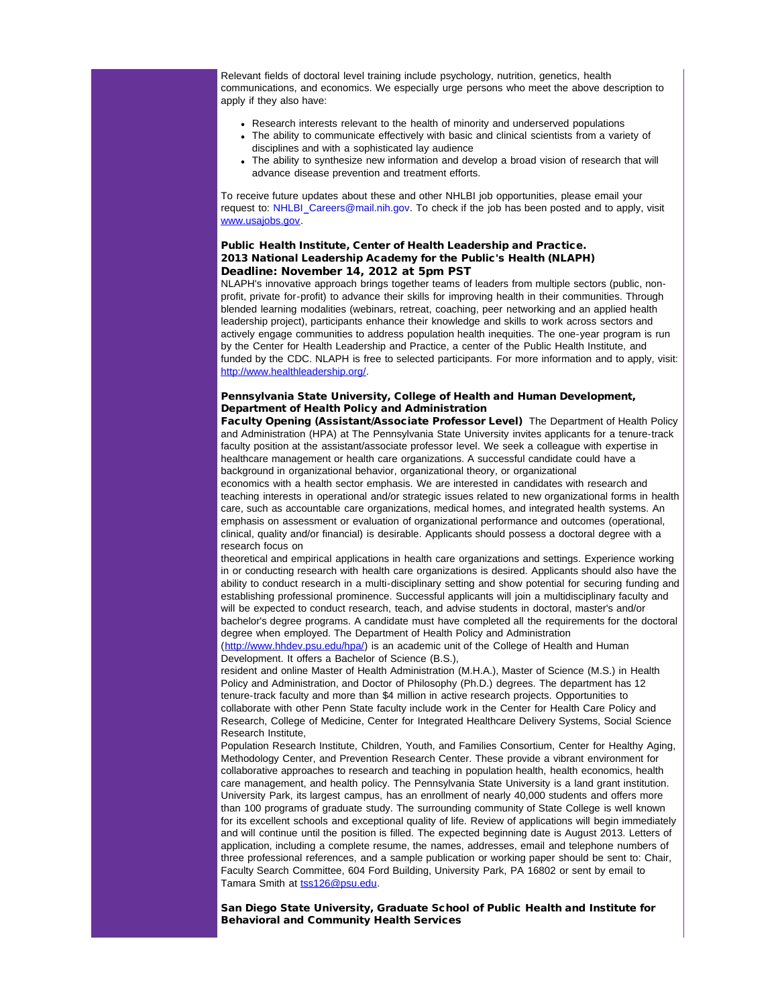Relevant fields of doctoral level training include psychology, nutrition, genetics, health communications, and economics. We especially urge persons who meet the above description to apply if they also have:

- Research interests relevant to the health of minority and underserved populations
- The ability to communicate effectively with basic and clinical scientists from a variety of disciplines and with a sophisticated lay audience
- The ability to synthesize new information and develop a broad vision of research that will advance disease prevention and treatment efforts.

To receive future updates about these and other NHLBI job opportunities, please email your request to: NHLBI\_Careers@mail.nih.gov. To check if the job has been posted and to apply, visit [www.usajobs.gov.](http://r20.rs6.net/tn.jsp?e=001oOLWlYw_siucMLtwVYt7sttpmuSSDG9KCFQXVNPVI3_BC0UwAbmn9w6xcYocVPmSTtVewasemlffJGA5KhYOLeo9L0WJT3uSukwNhz59_rc=)

# Public Health Institute, Center of Health Leadership and Practice. 2013 National Leadership Academy for the Public's Health (NLAPH) Deadline: November 14, 2012 at 5pm PST

NLAPH's innovative approach brings together teams of leaders from multiple sectors (public, nonprofit, private for-profit) to advance their skills for improving health in their communities. Through blended learning modalities (webinars, retreat, coaching, peer networking and an applied health leadership project), participants enhance their knowledge and skills to work across sectors and actively engage communities to address population health inequities. The one-year program is run by the Center for Health Leadership and Practice, a center of the Public Health Institute, and funded by the CDC. NLAPH is free to selected participants. For more information and to apply, visit: [http://www.healthleadership.org/](http://r20.rs6.net/tn.jsp?e=001oOLWlYw_sisXWR4pHHnFnavP04XZ22qQ4zwRBG0qxipj65BixkXBRDMlhVmpP59a8ChcgT2xOkW8voQoOgaSLRqoKpUTdX2KtXwGj6k8pyi-4ChJz1g5Hg==).

# Pennsylvania State University, College of Health and Human Development, Department of Health Policy and Administration

Faculty Opening (Assistant/Associate Professor Level) The Department of Health Policy and Administration (HPA) at The Pennsylvania State University invites applicants for a tenure-track faculty position at the assistant/associate professor level. We seek a colleague with expertise in healthcare management or health care organizations. A successful candidate could have a background in organizational behavior, organizational theory, or organizational

economics with a health sector emphasis. We are interested in candidates with research and teaching interests in operational and/or strategic issues related to new organizational forms in health care, such as accountable care organizations, medical homes, and integrated health systems. An emphasis on assessment or evaluation of organizational performance and outcomes (operational, clinical, quality and/or financial) is desirable. Applicants should possess a doctoral degree with a research focus on

theoretical and empirical applications in health care organizations and settings. Experience working in or conducting research with health care organizations is desired. Applicants should also have the ability to conduct research in a multi-disciplinary setting and show potential for securing funding and establishing professional prominence. Successful applicants will join a multidisciplinary faculty and will be expected to conduct research, teach, and advise students in doctoral, master's and/or bachelor's degree programs. A candidate must have completed all the requirements for the doctoral degree when employed. The Department of Health Policy and Administration

([http://www.hhdev.psu.edu/hpa/\)](http://r20.rs6.net/tn.jsp?e=001oOLWlYw_sit14kXuQ_fssEWo4TPEaGbMP9t3b4lPXzOYrGL6rlxC3CxzkDc3V_tWF5yHop5OJ9io8lnhers06mzTUasn-TlR8C68MwjTl3B5GR-k8WJc_Q==) is an academic unit of the College of Health and Human Development. It offers a Bachelor of Science (B.S.),

resident and online Master of Health Administration (M.H.A.), Master of Science (M.S.) in Health Policy and Administration, and Doctor of Philosophy (Ph.D.) degrees. The department has 12 tenure-track faculty and more than \$4 million in active research projects. Opportunities to collaborate with other Penn State faculty include work in the Center for Health Care Policy and Research, College of Medicine, Center for Integrated Healthcare Delivery Systems, Social Science Research Institute,

Population Research Institute, Children, Youth, and Families Consortium, Center for Healthy Aging, Methodology Center, and Prevention Research Center. These provide a vibrant environment for collaborative approaches to research and teaching in population health, health economics, health care management, and health policy. The Pennsylvania State University is a land grant institution. University Park, its largest campus, has an enrollment of nearly 40,000 students and offers more than 100 programs of graduate study. The surrounding community of State College is well known for its excellent schools and exceptional quality of life. Review of applications will begin immediately and will continue until the position is filled. The expected beginning date is August 2013. Letters of application, including a complete resume, the names, addresses, email and telephone numbers of three professional references, and a sample publication or working paper should be sent to: Chair, Faculty Search Committee, 604 Ford Building, University Park, PA 16802 or sent by email to Tamara Smith at [tss126@psu.edu.](mailto:tss126@psu.edu)

San Diego State University, Graduate School of Public Health and Institute for Behavioral and Community Health Services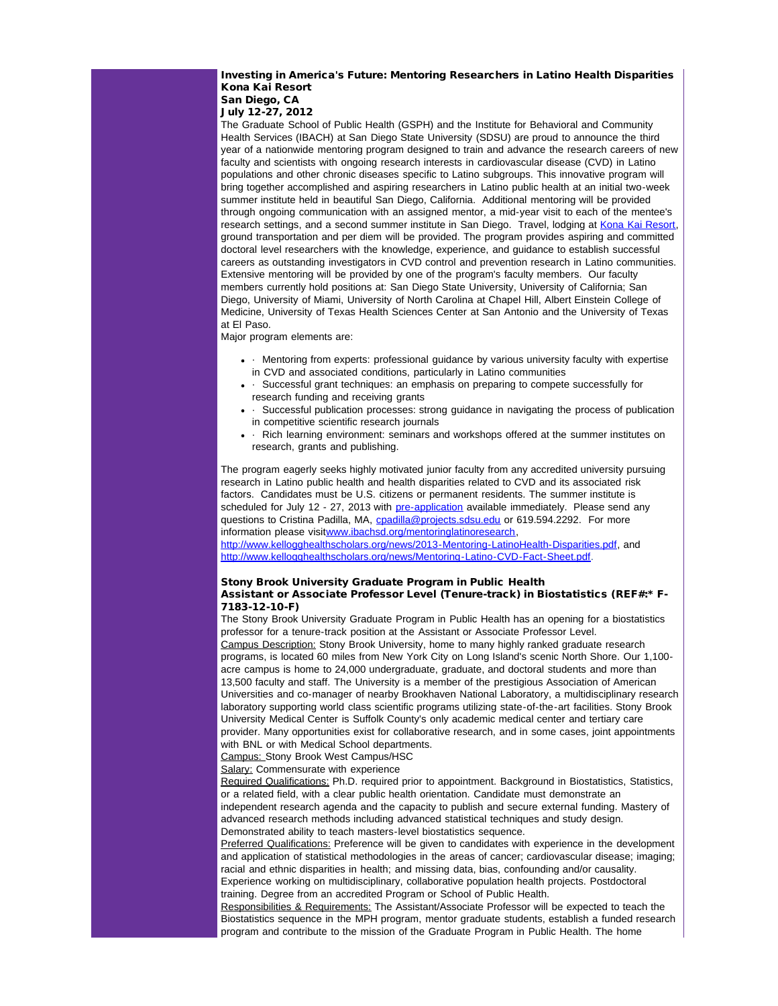### Investing in America's Future: Mentoring Researchers in Latino Health Disparities Kona Kai Resort San Diego, CA

July 12-27, 2012

The Graduate School of Public Health (GSPH) and the Institute for Behavioral and Community Health Services (IBACH) at San Diego State University (SDSU) are proud to announce the third year of a nationwide mentoring program designed to train and advance the research careers of new faculty and scientists with ongoing research interests in cardiovascular disease (CVD) in Latino populations and other chronic diseases specific to Latino subgroups. This innovative program will bring together accomplished and aspiring researchers in Latino public health at an initial two-week summer institute held in beautiful San Diego, California. Additional mentoring will be provided through ongoing communication with an assigned mentor, a mid-year visit to each of the mentee's research settings, and a second summer institute in San Diego. Travel, lodging at [Kona Kai Resort](http://r20.rs6.net/tn.jsp?e=001oOLWlYw_sisEV5p4r7-5CpHyl3bcTsap6Zan-Ch2H8TNjOlRWcV9x71NJNTSCnenjbUqFOMxxTJ8ucZqs_NpwXrnSq60V_fIaeaflRl2dKZz1MkF_HG6Zg==), ground transportation and per diem will be provided. The program provides aspiring and committed doctoral level researchers with the knowledge, experience, and guidance to establish successful careers as outstanding investigators in CVD control and prevention research in Latino communities. Extensive mentoring will be provided by one of the program's faculty members. Our faculty members currently hold positions at: San Diego State University, University of California; San Diego, University of Miami, University of North Carolina at Chapel Hill, Albert Einstein College of Medicine, University of Texas Health Sciences Center at San Antonio and the University of Texas at El Paso.

Major program elements are:

- Mentoring from experts: professional guidance by various university faculty with expertise in CVD and associated conditions, particularly in Latino communities
- · Successful grant techniques: an emphasis on preparing to compete successfully for research funding and receiving grants
- · Successful publication processes: strong guidance in navigating the process of publication in competitive scientific research journals
- · Rich learning environment: seminars and workshops offered at the summer institutes on research, grants and publishing.

The program eagerly seeks highly motivated junior faculty from any accredited university pursuing research in Latino public health and health disparities related to CVD and its associated risk factors. Candidates must be U.S. citizens or permanent residents. The summer institute is scheduled for July 12 - 27, 2013 with [pre-application](http://r20.rs6.net/tn.jsp?e=001oOLWlYw_siv7C9Qeeoh9eJ83K0ddDyRskfEyPi8Tko17odZnX0NfsXSS7ZssatJcMvzCrh5HA0mteX55NFp2e3EFq6qvO65FLOqynoPlv9oHR8V9gtwmZzQ1CYBG6UvOm-k4Nsitp8yUXPYV4ilRWMt8xgsAfRbK3RE62SsBw02JYtHiYDGptPGROy6dBQRabSxIuvgbEToTcXtQhIX_F9mc1y3lwI2wWj8lskUt7NOwUwv-ghM7Pg==) available immediately. Please send any questions to Cristina Padilla, MA, [cpadilla@projects.sdsu.edu](mailto:cpadilla@projects.sdsu.edu) or 619.594.2292. For more information please visit[www.ibachsd.org/mentoringlatinoresearch](http://r20.rs6.net/tn.jsp?e=001oOLWlYw_sivxXzP1Q4gyO4bMXphe44hErJLt7TzRfgLYUmbhKaLCrzURT0O6cWD2d1HOQEr2rj_jp7vQYZwLxb4koOJhFy8W4pAhGEEdT3uT0EmnopKtojN7D8plKZsZT08geN4lh5c=),

[http://www.kellogghealthscholars.org/news/2013-Mentoring-LatinoHealth-Disparities.pdf,](http://r20.rs6.net/tn.jsp?e=001oOLWlYw_sitrJ8sd1HpQCauDJEArWCbStxkOrXQ6fvKBm5SkLzO0dLwlat5lNAS8W_lWHJxtrEXZOQu2gM46rpn-MbZ3DyQFs3csKxvxqbWzFJgMJttrFCpYLdnxJBN6PnT7R3Xd0orglXGYlEui9MOPrD7n8UVg8t4QNaOavr2_2KI8Xn_ert2D3-QIizDL) and [http://www.kellogghealthscholars.org/news/Mentoring-Latino-CVD-Fact-Sheet.pdf](http://r20.rs6.net/tn.jsp?e=001oOLWlYw_siu7JTsgDS4PBhaG-4yk80Q6cucOs_X68oc4-ZNGPZNUQKIP0qPQ32eZH1OlEjsEjmhq6xaLT2Xv63OyV5gw5oi4eSFqy6D9ZGMUO3RCdsy6ZS1kVkxHH0I6-swhUEQMcgIlWYpKB2gfg8VWERTHrEgu5Pb-1GSw4h9uSTbHWYBUHw==).

#### Stony Brook University Graduate Program in Public Health Assistant or Associate Professor Level (Tenure-track) in Biostatistics (REF#:\* F-7183-12-10-F)

The Stony Brook University Graduate Program in Public Health has an opening for a biostatistics professor for a tenure-track position at the Assistant or Associate Professor Level. Campus Description: Stony Brook University, home to many highly ranked graduate research programs, is located 60 miles from New York City on Long Island's scenic North Shore. Our 1,100 acre campus is home to 24,000 undergraduate, graduate, and doctoral students and more than 13,500 faculty and staff. The University is a member of the prestigious Association of American Universities and co-manager of nearby Brookhaven National Laboratory, a multidisciplinary research laboratory supporting world class scientific programs utilizing state-of-the-art facilities. Stony Brook University Medical Center is Suffolk County's only academic medical center and tertiary care provider. Many opportunities exist for collaborative research, and in some cases, joint appointments with BNL or with Medical School departments.

Campus: Stony Brook West Campus/HSC

Salary: Commensurate with experience

Required Qualifications: Ph.D. required prior to appointment. Background in Biostatistics, Statistics, or a related field, with a clear public health orientation. Candidate must demonstrate an

independent research agenda and the capacity to publish and secure external funding. Mastery of advanced research methods including advanced statistical techniques and study design. Demonstrated ability to teach masters-level biostatistics sequence.

Preferred Qualifications: Preference will be given to candidates with experience in the development and application of statistical methodologies in the areas of cancer; cardiovascular disease; imaging; racial and ethnic disparities in health; and missing data, bias, confounding and/or causality. Experience working on multidisciplinary, collaborative population health projects. Postdoctoral training. Degree from an accredited Program or School of Public Health.

Responsibilities & Requirements: The Assistant/Associate Professor will be expected to teach the Biostatistics sequence in the MPH program, mentor graduate students, establish a funded research program and contribute to the mission of the Graduate Program in Public Health. The home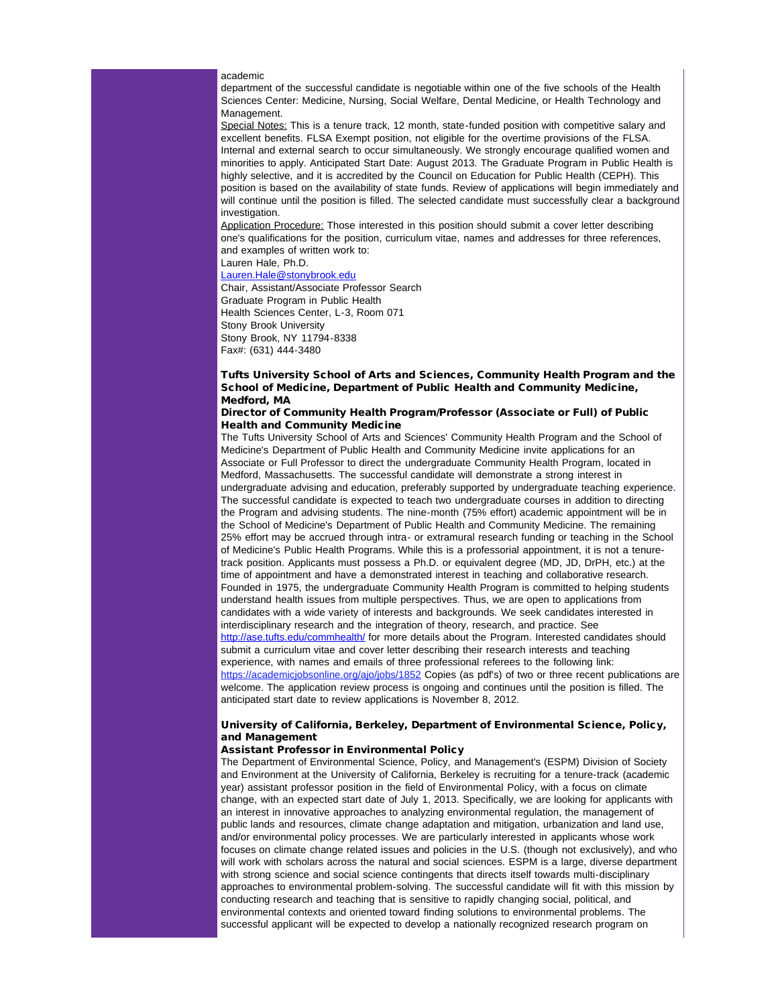#### academic

department of the successful candidate is negotiable within one of the five schools of the Health Sciences Center: Medicine, Nursing, Social Welfare, Dental Medicine, or Health Technology and Management.

Special Notes: This is a tenure track, 12 month, state-funded position with competitive salary and excellent benefits. FLSA Exempt position, not eligible for the overtime provisions of the FLSA. Internal and external search to occur simultaneously. We strongly encourage qualified women and minorities to apply. Anticipated Start Date: August 2013. The Graduate Program in Public Health is highly selective, and it is accredited by the Council on Education for Public Health (CEPH). This position is based on the availability of state funds. Review of applications will begin immediately and will continue until the position is filled. The selected candidate must successfully clear a background investigation.

Application Procedure: Those interested in this position should submit a cover letter describing one's qualifications for the position, curriculum vitae, names and addresses for three references, and examples of written work to: Lauren Hale, Ph.D.

[Lauren.Hale@stonybrook.edu](mailto:Lauren.Hale@stonybrook.edu)

Chair, Assistant/Associate Professor Search Graduate Program in Public Health Health Sciences Center, L-3, Room 071 Stony Brook University Stony Brook, NY 11794-8338 Fax#: (631) 444-3480

# Tufts University School of Arts and Sciences, Community Health Program and the School of Medicine, Department of Public Health and Community Medicine, Medford, MA

### Director of Community Health Program/Professor (Associate or Full) of Public Health and Community Medicine

The Tufts University School of Arts and Sciences' Community Health Program and the School of Medicine's Department of Public Health and Community Medicine invite applications for an Associate or Full Professor to direct the undergraduate Community Health Program, located in Medford, Massachusetts. The successful candidate will demonstrate a strong interest in undergraduate advising and education, preferably supported by undergraduate teaching experience. The successful candidate is expected to teach two undergraduate courses in addition to directing the Program and advising students. The nine-month (75% effort) academic appointment will be in the School of Medicine's Department of Public Health and Community Medicine. The remaining 25% effort may be accrued through intra- or extramural research funding or teaching in the School of Medicine's Public Health Programs. While this is a professorial appointment, it is not a tenuretrack position. Applicants must possess a Ph.D. or equivalent degree (MD, JD, DrPH, etc.) at the time of appointment and have a demonstrated interest in teaching and collaborative research. Founded in 1975, the undergraduate Community Health Program is committed to helping students understand health issues from multiple perspectives. Thus, we are open to applications from candidates with a wide variety of interests and backgrounds. We seek candidates interested in interdisciplinary research and the integration of theory, research, and practice. See [http://ase.tufts.edu/commhealth/](http://r20.rs6.net/tn.jsp?e=001oOLWlYw_sitBPYztt-nSXm1Iz2zXFvRDrsgChaEbxZzWmglQLXDZSS3mSqQaf7BL3gUWyDwRZXmmUXg0txAh7QCfMBgTLuAYTgEfT44JeeChIDBl_2vq_1GBn4itR0uI) for more details about the Program. Interested candidates should submit a curriculum vitae and cover letter describing their research interests and teaching experience, with names and emails of three professional referees to the following link: https://academicjobsonline.org/ajo/jobs/1852 Copies (as pdf's) of two or three recent publications are welcome. The application review process is ongoing and continues until the position is filled. The anticipated start date to review applications is November 8, 2012.

# University of California, Berkeley, Department of Environmental Science, Policy, and Management

### Assistant Professor in Environmental Policy

The Department of Environmental Science, Policy, and Management's (ESPM) Division of Society and Environment at the University of California, Berkeley is recruiting for a tenure-track (academic year) assistant professor position in the field of Environmental Policy, with a focus on climate change, with an expected start date of July 1, 2013. Specifically, we are looking for applicants with an interest in innovative approaches to analyzing environmental regulation, the management of public lands and resources, climate change adaptation and mitigation, urbanization and land use, and/or environmental policy processes. We are particularly interested in applicants whose work focuses on climate change related issues and policies in the U.S. (though not exclusively), and who will work with scholars across the natural and social sciences. ESPM is a large, diverse department with strong science and social science contingents that directs itself towards multi-disciplinary approaches to environmental problem-solving. The successful candidate will fit with this mission by conducting research and teaching that is sensitive to rapidly changing social, political, and environmental contexts and oriented toward finding solutions to environmental problems. The successful applicant will be expected to develop a nationally recognized research program on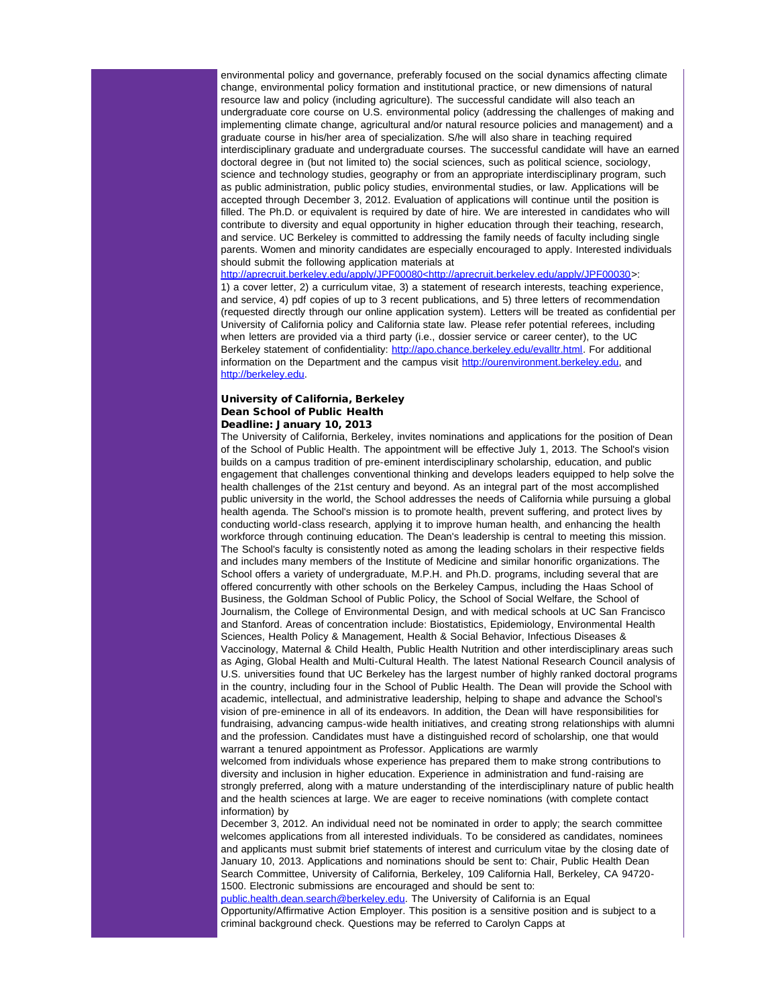environmental policy and governance, preferably focused on the social dynamics affecting climate change, environmental policy formation and institutional practice, or new dimensions of natural resource law and policy (including agriculture). The successful candidate will also teach an undergraduate core course on U.S. environmental policy (addressing the challenges of making and implementing climate change, agricultural and/or natural resource policies and management) and a graduate course in his/her area of specialization. S/he will also share in teaching required interdisciplinary graduate and undergraduate courses. The successful candidate will have an earned doctoral degree in (but not limited to) the social sciences, such as political science, sociology, science and technology studies, geography or from an appropriate interdisciplinary program, such as public administration, public policy studies, environmental studies, or law. Applications will be accepted through December 3, 2012. Evaluation of applications will continue until the position is filled. The Ph.D. or equivalent is required by date of hire. We are interested in candidates who will contribute to diversity and equal opportunity in higher education through their teaching, research, and service. UC Berkeley is committed to addressing the family needs of faculty including single parents. Women and minority candidates are especially encouraged to apply. Interested individuals should submit the following application materials at

[http://aprecruit.berkeley.edu/apply/JPF00080<http://aprecruit.berkeley.edu/apply/JPF00030](http://r20.rs6.net/tn.jsp?e=001oOLWlYw_siv7w2GaMkO6nCriR3qsY2oz-s6qoHtSI_kq08RuZGr3Ai1v_LbVR4w4wFx4oI0Rb5Wv4qIHifEPbbOmuvS621KoNS1eNoGZ2cSmzGcmTMQu0j5qbq8mNa0fu6hBcIGTz829_JTzNUgSq0-ApRccV1DwV-cB3tKGFdH_PHwm6E5Rk6XSKheTwp00-rP3wopgffhekZzvB8pepg==)>: 1) a cover letter, 2) a curriculum vitae, 3) a statement of research interests, teaching experience, and service, 4) pdf copies of up to 3 recent publications, and 5) three letters of recommendation (requested directly through our online application system). Letters will be treated as confidential per University of California policy and California state law. Please refer potential referees, including when letters are provided via a third party (i.e., dossier service or career center), to the UC Berkeley statement of confidentiality: [http://apo.chance.berkeley.edu/evalltr.html](http://r20.rs6.net/tn.jsp?e=001oOLWlYw_siuJlMRHOkRq3q02bPoIm4f8exKGX4Hxd0Y5_RT6z5O-DAcpBRpraB5dKellZjnt7tcbB6OuS0x-iJ7h-sbLWdBvBg2Bs_9DKYZ_drS_-B9gsA_ekjW6bCBK1d5uqmPglYE=). For additional information on the Department and the campus visit [http://ourenvironment.berkeley.edu](http://r20.rs6.net/tn.jsp?e=001oOLWlYw_sit3et-LDmyZhPIMnCBIyVaN35-au48rTBKPQzQ9-ZKFH7f-FE4uxGvIjU8_QwlXGZipQ8Ee1JTgQrmCRvJihLSUGntwsWoBHHPoPqqoliC35A==), and [http://berkeley.edu.](http://r20.rs6.net/tn.jsp?e=001oOLWlYw_sitXl_4ycYAReb9tV0ssvrbz_kbGOGfmTPp_W-T2FlWE04RchWdlgl7lpIh8JZgTv-3b0HYKiplLjXIUP0ZgBVdoAT_SfDAjkys=)

# University of California, Berkeley Dean School of Public Health Deadline: January 10, 2013

The University of California, Berkeley, invites nominations and applications for the position of Dean of the School of Public Health. The appointment will be effective July 1, 2013. The School's vision builds on a campus tradition of pre-eminent interdisciplinary scholarship, education, and public engagement that challenges conventional thinking and develops leaders equipped to help solve the health challenges of the 21st century and beyond. As an integral part of the most accomplished public university in the world, the School addresses the needs of California while pursuing a global health agenda. The School's mission is to promote health, prevent suffering, and protect lives by conducting world-class research, applying it to improve human health, and enhancing the health workforce through continuing education. The Dean's leadership is central to meeting this mission. The School's faculty is consistently noted as among the leading scholars in their respective fields and includes many members of the Institute of Medicine and similar honorific organizations. The School offers a variety of undergraduate, M.P.H. and Ph.D. programs, including several that are offered concurrently with other schools on the Berkeley Campus, including the Haas School of Business, the Goldman School of Public Policy, the School of Social Welfare, the School of Journalism, the College of Environmental Design, and with medical schools at UC San Francisco and Stanford. Areas of concentration include: Biostatistics, Epidemiology, Environmental Health Sciences, Health Policy & Management, Health & Social Behavior, Infectious Diseases & Vaccinology, Maternal & Child Health, Public Health Nutrition and other interdisciplinary areas such as Aging, Global Health and Multi-Cultural Health. The latest National Research Council analysis of U.S. universities found that UC Berkeley has the largest number of highly ranked doctoral programs in the country, including four in the School of Public Health. The Dean will provide the School with academic, intellectual, and administrative leadership, helping to shape and advance the School's vision of pre-eminence in all of its endeavors. In addition, the Dean will have responsibilities for fundraising, advancing campus-wide health initiatives, and creating strong relationships with alumni and the profession. Candidates must have a distinguished record of scholarship, one that would warrant a tenured appointment as Professor. Applications are warmly

welcomed from individuals whose experience has prepared them to make strong contributions to diversity and inclusion in higher education. Experience in administration and fund-raising are strongly preferred, along with a mature understanding of the interdisciplinary nature of public health and the health sciences at large. We are eager to receive nominations (with complete contact information) by

December 3, 2012. An individual need not be nominated in order to apply; the search committee welcomes applications from all interested individuals. To be considered as candidates, nominees and applicants must submit brief statements of interest and curriculum vitae by the closing date of January 10, 2013. Applications and nominations should be sent to: Chair, Public Health Dean Search Committee, University of California, Berkeley, 109 California Hall, Berkeley, CA 94720- 1500. Electronic submissions are encouraged and should be sent to:

[public.health.dean.search@berkeley.edu.](mailto:public.health.dean.search@berkeley.edu) The University of California is an Equal Opportunity/Affirmative Action Employer. This position is a sensitive position and is subject to a criminal background check. Questions may be referred to Carolyn Capps at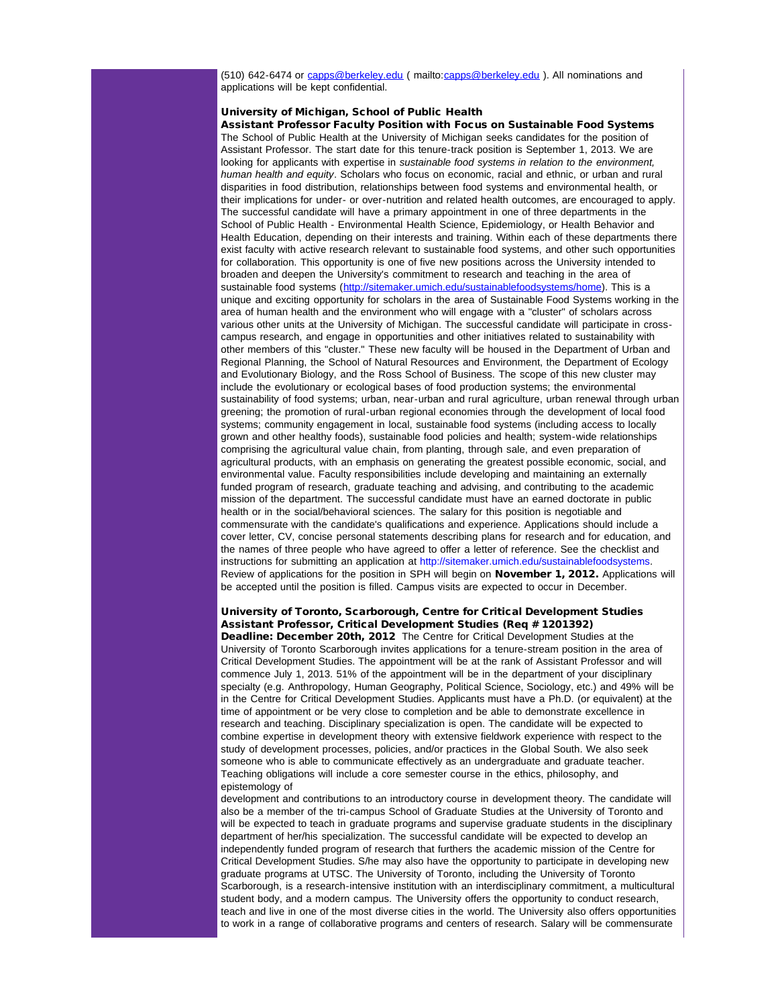(510) 642-6474 or [capps@berkeley.edu](mailto:capps@berkeley.edu) ( mailto:[capps@berkeley.edu](mailto:capps@berkeley.edu) ). All nominations and applications will be kept confidential.

# University of Michigan, School of Public Health

Assistant Professor Faculty Position with Focus on Sustainable Food Systems The School of Public Health at the University of Michigan seeks candidates for the position of Assistant Professor. The start date for this tenure-track position is September 1, 2013. We are looking for applicants with expertise in *sustainable food systems in relation to the environment, human health and equity*. Scholars who focus on economic, racial and ethnic, or urban and rural disparities in food distribution, relationships between food systems and environmental health, or their implications for under- or over-nutrition and related health outcomes, are encouraged to apply. The successful candidate will have a primary appointment in one of three departments in the School of Public Health - Environmental Health Science, Epidemiology, or Health Behavior and Health Education, depending on their interests and training. Within each of these departments there exist faculty with active research relevant to sustainable food systems, and other such opportunities for collaboration. This opportunity is one of five new positions across the University intended to broaden and deepen the University's commitment to research and teaching in the area of sustainable food systems ([http://sitemaker.umich.edu/sustainablefoodsystems/home](http://r20.rs6.net/tn.jsp?e=001oOLWlYw_sist4cUizJ1nwn3PEh4x1_lR0cBRprs_5LCW_dNKk_VGAQF6j_MPKOaXHK3XdkthlLiVLbvmjztidqqLZ3SXYVdkHDDZ0QFPvKYt3EKf4xAaD-XkHOk8HjnMd2kZAz_KPynq8g7n1g3crQ==)). This is a unique and exciting opportunity for scholars in the area of Sustainable Food Systems working in the area of human health and the environment who will engage with a "cluster" of scholars across various other units at the University of Michigan. The successful candidate will participate in crosscampus research, and engage in opportunities and other initiatives related to sustainability with other members of this "cluster." These new faculty will be housed in the Department of Urban and Regional Planning, the School of Natural Resources and Environment, the Department of Ecology and Evolutionary Biology, and the Ross School of Business. The scope of this new cluster may include the evolutionary or ecological bases of food production systems; the environmental sustainability of food systems; urban, near-urban and rural agriculture, urban renewal through urban greening; the promotion of rural-urban regional economies through the development of local food systems; community engagement in local, sustainable food systems (including access to locally grown and other healthy foods), sustainable food policies and health; system-wide relationships comprising the agricultural value chain, from planting, through sale, and even preparation of agricultural products, with an emphasis on generating the greatest possible economic, social, and environmental value. Faculty responsibilities include developing and maintaining an externally funded program of research, graduate teaching and advising, and contributing to the academic mission of the department. The successful candidate must have an earned doctorate in public health or in the social/behavioral sciences. The salary for this position is negotiable and commensurate with the candidate's qualifications and experience. Applications should include a cover letter, CV, concise personal statements describing plans for research and for education, and the names of three people who have agreed to offer a letter of reference. See the checklist and instructions for submitting an application at http://sitemaker.umich.edu/sustainablefoodsystems. Review of applications for the position in SPH will begin on November 1, 2012. Applications will be accepted until the position is filled. Campus visits are expected to occur in December.

# University of Toronto, Scarborough, Centre for Critical Development Studies Assistant Professor, Critical Development Studies (Req # 1201392)

Deadline: December 20th, 2012 The Centre for Critical Development Studies at the University of Toronto Scarborough invites applications for a tenure-stream position in the area of Critical Development Studies. The appointment will be at the rank of Assistant Professor and will commence July 1, 2013. 51% of the appointment will be in the department of your disciplinary specialty (e.g. Anthropology, Human Geography, Political Science, Sociology, etc.) and 49% will be in the Centre for Critical Development Studies. Applicants must have a Ph.D. (or equivalent) at the time of appointment or be very close to completion and be able to demonstrate excellence in research and teaching. Disciplinary specialization is open. The candidate will be expected to combine expertise in development theory with extensive fieldwork experience with respect to the study of development processes, policies, and/or practices in the Global South. We also seek someone who is able to communicate effectively as an undergraduate and graduate teacher. Teaching obligations will include a core semester course in the ethics, philosophy, and epistemology of

development and contributions to an introductory course in development theory. The candidate will also be a member of the tri-campus School of Graduate Studies at the University of Toronto and will be expected to teach in graduate programs and supervise graduate students in the disciplinary department of her/his specialization. The successful candidate will be expected to develop an independently funded program of research that furthers the academic mission of the Centre for Critical Development Studies. S/he may also have the opportunity to participate in developing new graduate programs at UTSC. The University of Toronto, including the University of Toronto Scarborough, is a research-intensive institution with an interdisciplinary commitment, a multicultural student body, and a modern campus. The University offers the opportunity to conduct research, teach and live in one of the most diverse cities in the world. The University also offers opportunities to work in a range of collaborative programs and centers of research. Salary will be commensurate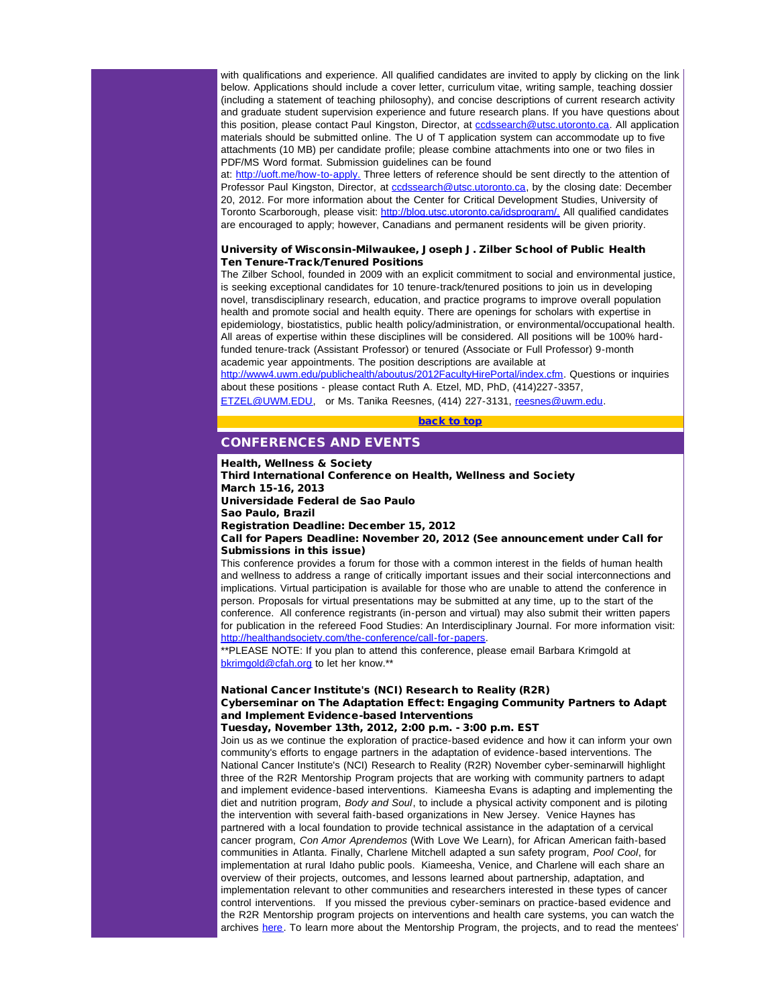with qualifications and experience. All qualified candidates are invited to apply by clicking on the link below. Applications should include a cover letter, curriculum vitae, writing sample, teaching dossier (including a statement of teaching philosophy), and concise descriptions of current research activity and graduate student supervision experience and future research plans. If you have questions about this position, please contact Paul Kingston, Director, at codssearch@utsc.utoronto.ca. All application materials should be submitted online. The U of T application system can accommodate up to five attachments (10 MB) per candidate profile; please combine attachments into one or two files in PDF/MS Word format. Submission guidelines can be found

at: [http://uoft.me/how-to-apply.](http://r20.rs6.net/tn.jsp?e=001oOLWlYw_siuVftL2_S_M3iSKGLFvBdIX6Hg7mcYSL2FpshvOnJx4B5MIgjFVb6ded8PBXJziqI3CYvkR2GnwoPwOok-ijF6QDxeWUG-ENXE6FXSq6CBDdQ==) Three letters of reference should be sent directly to the attention of Professor Paul Kingston, Director, at codssearch@utsc.utoronto.ca, by the closing date: December 20, 2012. For more information about the Center for Critical Development Studies, University of Toronto Scarborough, please visit: [http://blog.utsc.utoronto.ca/idsprogram/.](http://r20.rs6.net/tn.jsp?e=001oOLWlYw_sitIO0BQV68nfMxhGkZPgIVf6qXuM6S9HtPipdu3HCOTRrcCFnyfmQ8eYrS-8ZMnpSUh7LYL4ft-HXJeUfg5MlOu-_STW0vKhC5itVeUuPaH3T4K7uoX7jtiVJcNqBkwWUQ=) All qualified candidates are encouraged to apply; however, Canadians and permanent residents will be given priority.

### <span id="page-16-0"></span>University of Wisconsin-Milwaukee, Joseph J. Zilber School of Public Health Ten Tenure-Track/Tenured Positions

The Zilber School, founded in 2009 with an explicit commitment to social and environmental justice, is seeking exceptional candidates for 10 tenure-track/tenured positions to join us in developing novel, transdisciplinary research, education, and practice programs to improve overall population health and promote social and health equity. There are openings for scholars with expertise in epidemiology, biostatistics, public health policy/administration, or environmental/occupational health. All areas of expertise within these disciplines will be considered. All positions will be 100% hardfunded tenure-track (Assistant Professor) or tenured (Associate or Full Professor) 9-month academic year appointments. The position descriptions are available at

[http://www4.uwm.edu/publichealth/aboutus/2012FacultyHirePortal/index.cfm.](http://r20.rs6.net/tn.jsp?e=001oOLWlYw_siv8aOtsZ1ZRlVNdBMM-TCWKnggZ1ruvoII7O2PZ9SHH49AxZdqKPq9KWqOyCZEgWhSWIW_msmVb_-Ln9369xyihAlO6jwemrIGuNhLXZXF9cX12-84hWa3dIqTLRBO6GVG9nWuvyrMq0f6ouT0JABtPkfRvkx6WBJktBMomUAbdCQ==) Questions or inquiries about these positions - please contact Ruth A. Etzel, MD, PhD, (414)227-3357,

[ETZEL@UWM.EDU](mailto:ETZEL@UWM.EDU), or Ms. Tanika Reesnes, (414) 227-3131, [reesnes@uwm.edu](mailto:reesnes@uwm.edu).

[back to top](#page-0-3)

# CONFERENCES AND EVENTS

Health, Wellness & Society

Third International Conference on Health, Wellness and Society March 15-16, 2013

Universidade Federal de Sao Paulo

Sao Paulo, Brazil

Registration Deadline: December 15, 2012

Call for Papers Deadline: November 20, 2012 (See announcement under Call for Submissions in this issue)

This conference provides a forum for those with a common interest in the fields of human health and wellness to address a range of critically important issues and their social interconnections and implications. Virtual participation is available for those who are unable to attend the conference in person. Proposals for virtual presentations may be submitted at any time, up to the start of the conference. All conference registrants (in-person and virtual) may also submit their written papers for publication in the refereed Food Studies: An Interdisciplinary Journal. For more information visit: [http://healthandsociety.com/the-conference/call-for-papers](http://r20.rs6.net/tn.jsp?e=001oOLWlYw_siurb5u6ibivDmNB1Wr5lRmHGin6HJU43pCanGZa_zQi2kJuZIuEm7ks1IMsz9JBTNbi4boYA0GG6fdzgM3JFAiHAKOMFw1My3mCcpPgIM60sQVyo9u4-Du1kBhdfyJ4K6iTe-q12w3aPoQfU9IZGOx3).

\*\*PLEASE NOTE: If you plan to attend this conference, please email Barbara Krimgold at [bkrimgold@cfah.org](mailto:bkrimgold@cfah.org) to let her know.\*\*

# National Cancer Institute's (NCI) Research to Reality (R2R) Cyberseminar on The Adaptation Effect: Engaging Community Partners to Adapt and Implement Evidence-based Interventions

Tuesday, November 13th, 2012, 2:00 p.m. - 3:00 p.m. EST

Join us as we continue the exploration of practice-based evidence and how it can inform your own community's efforts to engage partners in the adaptation of evidence-based interventions. The National Cancer Institute's (NCI) Research to Reality (R2R) November cyber-seminarwill highlight three of the R2R Mentorship Program projects that are working with community partners to adapt and implement evidence-based interventions. Kiameesha Evans is adapting and implementing the diet and nutrition program, *Body and Soul*, to include a physical activity component and is piloting the intervention with several faith-based organizations in New Jersey. Venice Haynes has partnered with a local foundation to provide technical assistance in the adaptation of a cervical cancer program, *Con Amor Aprendemos* (With Love We Learn), for African American faith-based communities in Atlanta. Finally, Charlene Mitchell adapted a sun safety program, *Pool Cool*, for implementation at rural Idaho public pools. Kiameesha, Venice, and Charlene will each share an overview of their projects, outcomes, and lessons learned about partnership, adaptation, and implementation relevant to other communities and researchers interested in these types of cancer control interventions. If you missed the previous cyber-seminars on practice-based evidence and the R2R Mentorship program projects on interventions and health care systems, you can watch the archives [here.](http://r20.rs6.net/tn.jsp?e=001oOLWlYw_sis5xVJRWFSFyUxfcRXwGiXHp1nViJv200xheisHhF4mLGQNBQVz2aX66OnLx4YQfBD30wYZ2DC3XJ2UeTgJvuuq6SAC1cUmFnhaGVSOIssvoHR0McPWg9w1BlvR8JodYc1bQTL3GLZcVDjThLSQx4Zz) To learn more about the Mentorship Program, the projects, and to read the mentees'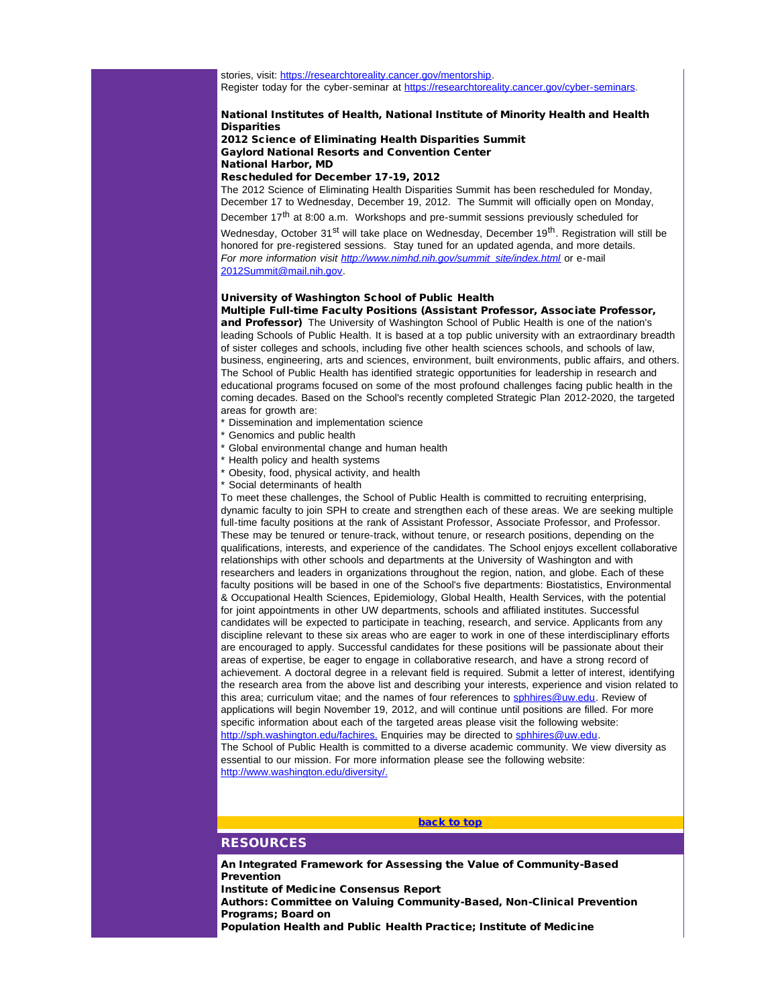stories, visit: [https://researchtoreality.cancer.gov/mentorship](http://r20.rs6.net/tn.jsp?e=001oOLWlYw_sivUeT91Ura8SmdWUudM82jroXwu446yH15Gv9ApPnxfiWLqe9YijfKN8g5g8lpnIOJOV6v_gLJC7V795GnIBwyPI9E-0OcDUGG9QianfUL0uoUV3_bkvXsxiFXMx0hxlgM=). Register today for the cyber-seminar at [https://researchtoreality.cancer.gov/cyber-seminars](http://r20.rs6.net/tn.jsp?e=001oOLWlYw_sitbRXS7DldUC6i8f7C9N9kDfLNQF4rCqMJIWSMNXmyd6ojq_kOSjVF30DTMeFXUdVghgIUMPeRrkbRHXPnOCqyIhKZjN3uTrohvRr1CPIU_q5woPBvyTX3GAVXzJTo8IY6w1dTOfl53_A==).

### National Institutes of Health, National Institute of Minority Health and Health **Disparities**

2012 Science of Eliminating Health Disparities Summit Gaylord National Resorts and Convention Center National Harbor, MD

### Rescheduled for December 17-19, 2012

The 2012 Science of Eliminating Health Disparities Summit has been rescheduled for Monday, December 17 to Wednesday, December 19, 2012. The Summit will officially open on Monday,

December  $17<sup>th</sup>$  at 8:00 a.m. Workshops and pre-summit sessions previously scheduled for

Wednesday, October 31<sup>st</sup> will take place on Wednesday, December 19<sup>th</sup>. Registration will still be honored for pre-registered sessions. Stay tuned for an updated agenda, and more details. *For more information visit [http://www.nimhd.nih.gov/summit\\_site/index.html](http://r20.rs6.net/tn.jsp?e=001oOLWlYw_sitq55iwVCf1DAaKQj5gJMbK_5BET-EriTQHq6EpHZaQyLr0xfx4f8eIP70PV3plZ6n2ScCnTtt6tOYgz2KCE2d8AbdLXIaLJ6Yb5yrceE-SU7bJ10DcYoKYeAU0sgXlewlsE8jP3q6zoQ==)* or e-mail [2012Summit@mail.nih.gov.](mailto:2012Summit@mail.nih.gov)

## University of Washington School of Public Health

Multiple Full-time Faculty Positions (Assistant Professor, Associate Professor, and Professor) The University of Washington School of Public Health is one of the nation's leading Schools of Public Health. It is based at a top public university with an extraordinary breadth of sister colleges and schools, including five other health sciences schools, and schools of law, business, engineering, arts and sciences, environment, built environments, public affairs, and others. The School of Public Health has identified strategic opportunities for leadership in research and educational programs focused on some of the most profound challenges facing public health in the coming decades. Based on the School's recently completed Strategic Plan 2012-2020, the targeted areas for growth are:

- \* Dissemination and implementation science
- Genomics and public health
- \* Global environmental change and human health
- \* Health policy and health systems
- \* Obesity, food, physical activity, and health
- \* Social determinants of health

<span id="page-17-0"></span>To meet these challenges, the School of Public Health is committed to recruiting enterprising, dynamic faculty to join SPH to create and strengthen each of these areas. We are seeking multiple full-time faculty positions at the rank of Assistant Professor, Associate Professor, and Professor. These may be tenured or tenure-track, without tenure, or research positions, depending on the qualifications, interests, and experience of the candidates. The School enjoys excellent collaborative relationships with other schools and departments at the University of Washington and with researchers and leaders in organizations throughout the region, nation, and globe. Each of these faculty positions will be based in one of the School's five departments: Biostatistics, Environmental & Occupational Health Sciences, Epidemiology, Global Health, Health Services, with the potential for joint appointments in other UW departments, schools and affiliated institutes. Successful candidates will be expected to participate in teaching, research, and service. Applicants from any discipline relevant to these six areas who are eager to work in one of these interdisciplinary efforts are encouraged to apply. Successful candidates for these positions will be passionate about their areas of expertise, be eager to engage in collaborative research, and have a strong record of achievement. A doctoral degree in a relevant field is required. Submit a letter of interest, identifying the research area from the above list and describing your interests, experience and vision related to this area; curriculum vitae; and the names of four references to [sphhires@uw.edu](mailto:sphhires@uw.edu). Review of applications will begin November 19, 2012, and will continue until positions are filled. For more specific information about each of the targeted areas please visit the following website: [http://sph.washington.edu/fachires.](http://r20.rs6.net/tn.jsp?e=001oOLWlYw_sitswKfVQpUE29yZmL5f5CLbNeCBVLu8ORrhYNLcoOKJe38mzJcq1ehn61Xmm1Gg-XWkIYW4CzXZtDXyRWSMOaiJTqNWt5x-2vztHR-5mxk4evBw4LOrTW9b) Enquiries may be directed to [sphhires@uw.edu](mailto:sphhires@uw.edu). The School of Public Health is committed to a diverse academic community. We view diversity as essential to our mission. For more information please see the following website: [http://www.washington.edu/diversity/.](http://r20.rs6.net/tn.jsp?e=001oOLWlYw_sivA3YDMiIjjw_DvBcKc5qcFNIQqb4Ma6A-rj7JXlkWn_SjJf-YMO1cTEFi2XALGeT0apKN2041bbFtiaLrXQMVbehoQeUh8tLilApxvmxVbfep7VG7N0rOm)

# [back to top](#page-0-3)

# **RESOURCES**

An Integrated Framework for Assessing the Value of Community-Based Prevention Institute of Medicine Consensus Report

Authors: Committee on Valuing Community-Based, Non-Clinical Prevention Programs; Board on

Population Health and Public Health Practice; Institute of Medicine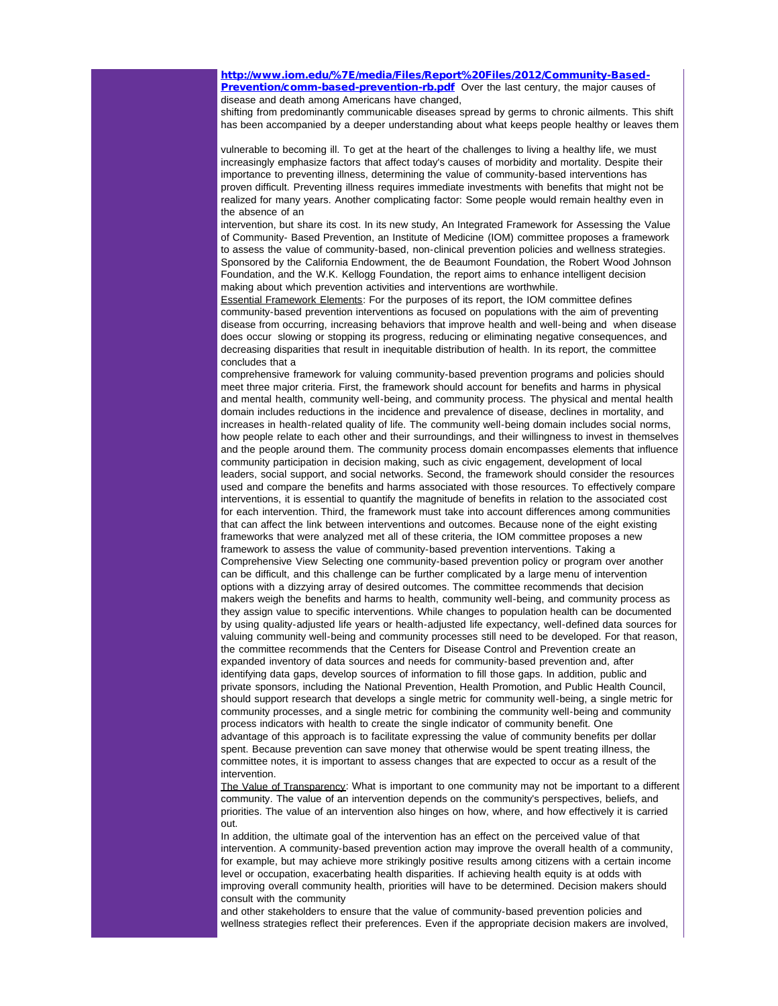[http://www.iom.edu/%7E/media/Files/Report%20Files/2012/Community-Based-](http://r20.rs6.net/tn.jsp?e=001oOLWlYw_sit-PxlCkqJBBZEw2XRP1RKvbPe8HKzqOfYv-ZLGXivwDeZF4XrHvRkWd_VkCd6VQf_morz7gr08WhvUKbMuGegAE6TpZZkLLeEdKg_krI9o8w43ngYF0CyisrQ1MH7AbJgiFJjN-jJmrU6AiFMf_bMRQfcr4cDzJ_unXBZ8KE3cu-7QcdY4dlrsl9xjCqkj5gnL9jC9WNkE8i_eBNwOOy0Ua_5h5u_5Nn3F3QYtBmREHA==)**[Prevention/comm-based-prevention-rb.pdf](http://r20.rs6.net/tn.jsp?e=001oOLWlYw_sit-PxlCkqJBBZEw2XRP1RKvbPe8HKzqOfYv-ZLGXivwDeZF4XrHvRkWd_VkCd6VQf_morz7gr08WhvUKbMuGegAE6TpZZkLLeEdKg_krI9o8w43ngYF0CyisrQ1MH7AbJgiFJjN-jJmrU6AiFMf_bMRQfcr4cDzJ_unXBZ8KE3cu-7QcdY4dlrsl9xjCqkj5gnL9jC9WNkE8i_eBNwOOy0Ua_5h5u_5Nn3F3QYtBmREHA==)** Over the last century, the major causes of disease and death among Americans have changed,

shifting from predominantly communicable diseases spread by germs to chronic ailments. This shift has been accompanied by a deeper understanding about what keeps people healthy or leaves them

vulnerable to becoming ill. To get at the heart of the challenges to living a healthy life, we must increasingly emphasize factors that affect today's causes of morbidity and mortality. Despite their importance to preventing illness, determining the value of community-based interventions has proven difficult. Preventing illness requires immediate investments with benefits that might not be realized for many years. Another complicating factor: Some people would remain healthy even in the absence of an

intervention, but share its cost. In its new study, An Integrated Framework for Assessing the Value of Community- Based Prevention, an Institute of Medicine (IOM) committee proposes a framework to assess the value of community-based, non-clinical prevention policies and wellness strategies. Sponsored by the California Endowment, the de Beaumont Foundation, the Robert Wood Johnson Foundation, and the W.K. Kellogg Foundation, the report aims to enhance intelligent decision making about which prevention activities and interventions are worthwhile.

Essential Framework Elements: For the purposes of its report, the IOM committee defines community-based prevention interventions as focused on populations with the aim of preventing disease from occurring, increasing behaviors that improve health and well-being and when disease does occur slowing or stopping its progress, reducing or eliminating negative consequences, and decreasing disparities that result in inequitable distribution of health. In its report, the committee concludes that a

comprehensive framework for valuing community-based prevention programs and policies should meet three major criteria. First, the framework should account for benefits and harms in physical and mental health, community well-being, and community process. The physical and mental health domain includes reductions in the incidence and prevalence of disease, declines in mortality, and increases in health-related quality of life. The community well-being domain includes social norms, how people relate to each other and their surroundings, and their willingness to invest in themselves and the people around them. The community process domain encompasses elements that influence community participation in decision making, such as civic engagement, development of local leaders, social support, and social networks. Second, the framework should consider the resources used and compare the benefits and harms associated with those resources. To effectively compare interventions, it is essential to quantify the magnitude of benefits in relation to the associated cost for each intervention. Third, the framework must take into account differences among communities that can affect the link between interventions and outcomes. Because none of the eight existing frameworks that were analyzed met all of these criteria, the IOM committee proposes a new framework to assess the value of community-based prevention interventions. Taking a Comprehensive View Selecting one community-based prevention policy or program over another can be difficult, and this challenge can be further complicated by a large menu of intervention options with a dizzying array of desired outcomes. The committee recommends that decision makers weigh the benefits and harms to health, community well-being, and community process as they assign value to specific interventions. While changes to population health can be documented by using quality-adjusted life years or health-adjusted life expectancy, well-defined data sources for valuing community well-being and community processes still need to be developed. For that reason, the committee recommends that the Centers for Disease Control and Prevention create an expanded inventory of data sources and needs for community-based prevention and, after identifying data gaps, develop sources of information to fill those gaps. In addition, public and private sponsors, including the National Prevention, Health Promotion, and Public Health Council, should support research that develops a single metric for community well-being, a single metric for community processes, and a single metric for combining the community well-being and community process indicators with health to create the single indicator of community benefit. One advantage of this approach is to facilitate expressing the value of community benefits per dollar spent. Because prevention can save money that otherwise would be spent treating illness, the committee notes, it is important to assess changes that are expected to occur as a result of the intervention.

The Value of Transparency: What is important to one community may not be important to a different community. The value of an intervention depends on the community's perspectives, beliefs, and priorities. The value of an intervention also hinges on how, where, and how effectively it is carried out.

In addition, the ultimate goal of the intervention has an effect on the perceived value of that intervention. A community-based prevention action may improve the overall health of a community, for example, but may achieve more strikingly positive results among citizens with a certain income level or occupation, exacerbating health disparities. If achieving health equity is at odds with improving overall community health, priorities will have to be determined. Decision makers should consult with the community

and other stakeholders to ensure that the value of community-based prevention policies and wellness strategies reflect their preferences. Even if the appropriate decision makers are involved,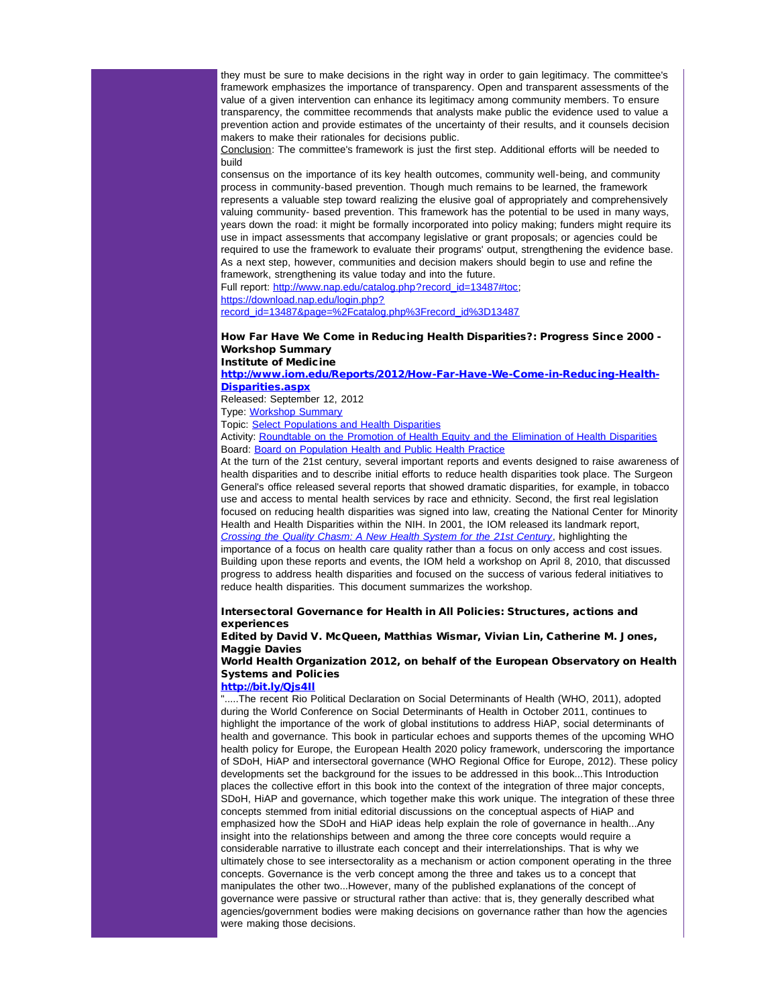they must be sure to make decisions in the right way in order to gain legitimacy. The committee's framework emphasizes the importance of transparency. Open and transparent assessments of the value of a given intervention can enhance its legitimacy among community members. To ensure transparency, the committee recommends that analysts make public the evidence used to value a prevention action and provide estimates of the uncertainty of their results, and it counsels decision makers to make their rationales for decisions public.

Conclusion: The committee's framework is just the first step. Additional efforts will be needed to build

consensus on the importance of its key health outcomes, community well-being, and community process in community-based prevention. Though much remains to be learned, the framework represents a valuable step toward realizing the elusive goal of appropriately and comprehensively valuing community- based prevention. This framework has the potential to be used in many ways, years down the road: it might be formally incorporated into policy making; funders might require its use in impact assessments that accompany legislative or grant proposals; or agencies could be required to use the framework to evaluate their programs' output, strengthening the evidence base. As a next step, however, communities and decision makers should begin to use and refine the framework, strengthening its value today and into the future.

Full report: [http://www.nap.edu/catalog.php?record\\_id=13487#toc;](http://r20.rs6.net/tn.jsp?e=001oOLWlYw_sitN12HkPuOwInMK9NjobGXNE5pml7ADauramF_01SW58EB2Lvst8frYwSHm8ae-MSF-GAX2a50nPHSBp2EGj5bySmtS6TIRzbKqSvK7-uDm9QFWkNqnxlNXnJEqTI7necXXP_McpeCfBw==) [https://download.nap.edu/login.php?](http://r20.rs6.net/tn.jsp?e=001oOLWlYw_sisOxourkk3Ixk2MEVjbjvXCqjZaT14QsjpVB6AzsKoq9SDtzfZzWEI2U3-8fvuAcQrIfrCGSaewCTkA8oGV8aRZ_3QjbtvtEgeZ9U-Fhrk0PzJHNwjREHVgyCorYW5O1iLYsYSW2ZOUqQEkfb7EyeGw3JKB6-BC_LO35O0bbUnVXyAwtrLI_UcH3dsNlx0M8xK6R6i-I965XQ==)

[record\\_id=13487&page=%2Fcatalog.php%3Frecord\\_id%3D13487](http://r20.rs6.net/tn.jsp?e=001oOLWlYw_sisOxourkk3Ixk2MEVjbjvXCqjZaT14QsjpVB6AzsKoq9SDtzfZzWEI2U3-8fvuAcQrIfrCGSaewCTkA8oGV8aRZ_3QjbtvtEgeZ9U-Fhrk0PzJHNwjREHVgyCorYW5O1iLYsYSW2ZOUqQEkfb7EyeGw3JKB6-BC_LO35O0bbUnVXyAwtrLI_UcH3dsNlx0M8xK6R6i-I965XQ==)

#### How Far Have We Come in Reducing Health Disparities?: Progress Since 2000 - Workshop Summary Institute of Medicine

## [http://www.iom.edu/Reports/2012/How-Far-Have-We-Come-in-Reducing-Health-](http://r20.rs6.net/tn.jsp?e=001oOLWlYw_siuyEwifp3ahHM9iWWD6Folzq0Vz_bY3VZq9a-AEQHxuk9gQv3iXB-1GmzVE8qig4Amf1WijmabE1cBvQN260JA_qFv2BuvARqbhyR7eJTEAeJFkx7sJorh_XB67PQYppocHKBlkS5l1bOeQeSoLc4tEycmmZ47F7ep6-Ae5_HLF89Mt92SL-lDARBnBrgHlZcM=)[Disparities.aspx](http://r20.rs6.net/tn.jsp?e=001oOLWlYw_siuyEwifp3ahHM9iWWD6Folzq0Vz_bY3VZq9a-AEQHxuk9gQv3iXB-1GmzVE8qig4Amf1WijmabE1cBvQN260JA_qFv2BuvARqbhyR7eJTEAeJFkx7sJorh_XB67PQYppocHKBlkS5l1bOeQeSoLc4tEycmmZ47F7ep6-Ae5_HLF89Mt92SL-lDARBnBrgHlZcM=)

Released: September 12, 2012

Type: [Workshop Summary](http://r20.rs6.net/tn.jsp?e=001oOLWlYw_siuA8wDfXwnZGok5xwKTNpxLmJnBWO72D68T6RQTLeRHGHbSzYwbnGW6uQ2p_j2Uq8MPMMO_rXrdXJjpejpNeNyPOnizy4H76642E3mtRDvjNDolSpD8qRbhNUlm3af3jjkuUIEO_UPP9AznswK796Tt)

Topic: [Select Populations and Health Disparities](http://r20.rs6.net/tn.jsp?e=001oOLWlYw_sitTJK9DkKp5piWG9Y0ifVN0QZpNXeAnXmCErum5O3r82DBvF-JDpFr6rPWZrEp5pY08zKALD9_cc3uYcjPKPoiX2lj9aVImyuM6oZKAjuRsBNLVqsenEMMueFu1Hh2o_6B_YM8BP-0ZvoGh7VUknBqeTT55cY_jZnVL1YZ0xR5ihQ==)

Activity: [Roundtable on the Promotion of Health Equity and the Elimination of Health Disparities](http://r20.rs6.net/tn.jsp?e=001oOLWlYw_sishnufn7BbmfF35j6R7abJbZqhc0_QZBSwom8GKb6uf-9DYvAY2NmqW_MPmNFQhuAbQmF4rT4J3qkvUl251GoKOf0fzw1ayUPZTp0vu-Y_w-AtzCPM9nGBCC-3gpBhiD1KvwsNIOV6OlbfJ0jYUA6BiUBbV9NLVwR0=) Board: [Board on Population Health and Public Health Practice](http://r20.rs6.net/tn.jsp?e=001oOLWlYw_sivqkZjI-moiV8HhMfjb9RzDudhW3VS4znGxqcvbagWVx1r42-a3f5ZJIPLNUBocAG1taQPUygJ1-VmfiuACBfog8fkmKjO_LU4Bz52_KQOwn6-QQHFThsX9_1aGSLZhls0HxPQGnfhWuZa7LdPOSXiBnJKoT3gLqq-7l11OJNLWSw-P3exhDS9RMQ7BHdDDjNdRov8pGTfI4OYK_RK3UOwQEg123ZwRz9k=)

At the turn of the 21st century, several important reports and events designed to raise awareness of health disparities and to describe initial efforts to reduce health disparities took place. The Surgeon General's office released several reports that showed dramatic disparities, for example, in tobacco use and access to mental health services by race and ethnicity. Second, the first real legislation focused on reducing health disparities was signed into law, creating the National Center for Minority Health and Health Disparities within the NIH. In 2001, the IOM released its landmark report, *[Crossing the Quality Chasm: A New Health System for the 21st Century](http://r20.rs6.net/tn.jsp?e=001oOLWlYw_sitPQUWVBez3pWtJJglPRVVlmUTyUzKY1q3OiYYAVctNgYsdQMTPE3hYvQn4v6dYOI3Oq_15QnQISS4F4V1F0aUqCOXzf6betY_NhilewYddHYAbbasfuaER-qbJmwU19YmVdEhLg9Qoxzvrq-_c5JNxkYeWCFK6KHMV9yAEPEMaBLn7jvM1_zjoWQ8im3JrP-52tmdCLaMWArd1-zwwFciO)*, highlighting the importance of a focus on health care quality rather than a focus on only access and cost issues. Building upon these reports and events, the IOM held a workshop on April 8, 2010, that discussed progress to address health disparities and focused on the success of various federal initiatives to reduce health disparities. This document summarizes the workshop.

# Intersectoral Governance for Health in All Policies: Structures, actions and experiences

Edited by David V. McQueen, Matthias Wismar, Vivian Lin, Catherine M. Jones, Maggie Davies

# World Health Organization 2012, on behalf of the European Observatory on Health Systems and Policies

### [http://bit.ly/Qjs4Il](http://r20.rs6.net/tn.jsp?e=001oOLWlYw_siuKC5u5c2j1eXWwOeomGkyiYFFxiIF5X0-pbYVFti8zj1Hf9aHIh2o2CcPgBcpN-t-enkYi9wE9nky2HA_tWMZUboTresAbyU0=)

".....The recent Rio Political Declaration on Social Determinants of Health (WHO, 2011), adopted during the World Conference on Social Determinants of Health in October 2011, continues to highlight the importance of the work of global institutions to address HiAP, social determinants of health and governance. This book in particular echoes and supports themes of the upcoming WHO health policy for Europe, the European Health 2020 policy framework, underscoring the importance of SDoH, HiAP and intersectoral governance (WHO Regional Office for Europe, 2012). These policy developments set the background for the issues to be addressed in this book...This Introduction places the collective effort in this book into the context of the integration of three major concepts, SDoH, HiAP and governance, which together make this work unique. The integration of these three concepts stemmed from initial editorial discussions on the conceptual aspects of HiAP and emphasized how the SDoH and HiAP ideas help explain the role of governance in health...Any insight into the relationships between and among the three core concepts would require a considerable narrative to illustrate each concept and their interrelationships. That is why we ultimately chose to see intersectorality as a mechanism or action component operating in the three concepts. Governance is the verb concept among the three and takes us to a concept that manipulates the other two...However, many of the published explanations of the concept of governance were passive or structural rather than active: that is, they generally described what agencies/government bodies were making decisions on governance rather than how the agencies were making those decisions.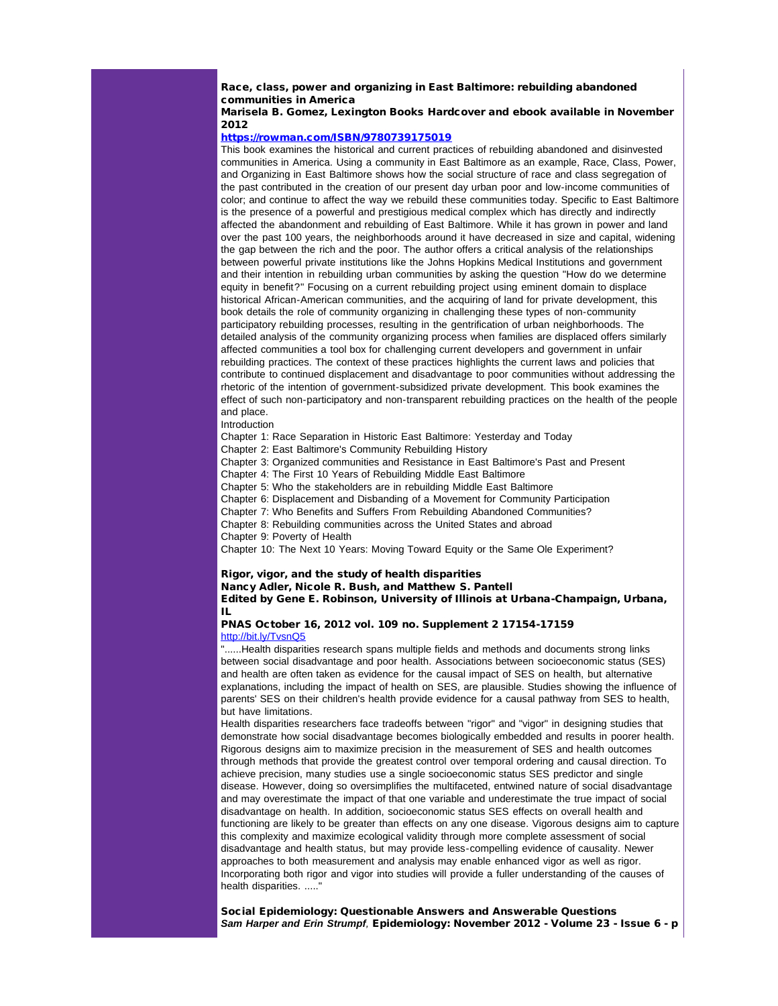# Race, class, power and organizing in East Baltimore: rebuilding abandoned communities in America

# Marisela B. Gomez, Lexington Books Hardcover and ebook available in November 2012

### [https://rowman.com/ISBN/9780739175019](http://r20.rs6.net/tn.jsp?e=001oOLWlYw_siu4XwJ5gZDogMuD-QPaUkw9wjl4WKJSHSy7EYxgN8r-pPbVgepAqG2KJZ_Ajv2XTlW0d85MCPfQywWHwMQiwIdQOFqtnnDprZfgaVrzYPbAKfKaHTjuApUa)

This book examines the historical and current practices of rebuilding abandoned and disinvested communities in America. Using a community in East Baltimore as an example, Race, Class, Power, and Organizing in East Baltimore shows how the social structure of race and class segregation of the past contributed in the creation of our present day urban poor and low-income communities of color; and continue to affect the way we rebuild these communities today. Specific to East Baltimore is the presence of a powerful and prestigious medical complex which has directly and indirectly affected the abandonment and rebuilding of East Baltimore. While it has grown in power and land over the past 100 years, the neighborhoods around it have decreased in size and capital, widening the gap between the rich and the poor. The author offers a critical analysis of the relationships between powerful private institutions like the Johns Hopkins Medical Institutions and government and their intention in rebuilding urban communities by asking the question "How do we determine equity in benefit?" Focusing on a current rebuilding project using eminent domain to displace historical African-American communities, and the acquiring of land for private development, this book details the role of community organizing in challenging these types of non-community participatory rebuilding processes, resulting in the gentrification of urban neighborhoods. The detailed analysis of the community organizing process when families are displaced offers similarly affected communities a tool box for challenging current developers and government in unfair rebuilding practices. The context of these practices highlights the current laws and policies that contribute to continued displacement and disadvantage to poor communities without addressing the rhetoric of the intention of government-subsidized private development. This book examines the effect of such non-participatory and non-transparent rebuilding practices on the health of the people and place.

Introduction

Chapter 1: Race Separation in Historic East Baltimore: Yesterday and Today

Chapter 2: East Baltimore's Community Rebuilding History

Chapter 3: Organized communities and Resistance in East Baltimore's Past and Present

Chapter 4: The First 10 Years of Rebuilding Middle East Baltimore

Chapter 5: Who the stakeholders are in rebuilding Middle East Baltimore

Chapter 6: Displacement and Disbanding of a Movement for Community Participation

Chapter 7: Who Benefits and Suffers From Rebuilding Abandoned Communities?

Chapter 8: Rebuilding communities across the United States and abroad

Chapter 9: Poverty of Health

Chapter 10: The Next 10 Years: Moving Toward Equity or the Same Ole Experiment?

#### Rigor, vigor, and the study of health disparities Nancy Adler, Nicole R. Bush, and Matthew S. Pantell

Edited by Gene E. Robinson, University of Illinois at Urbana-Champaign, Urbana, IL

### PNAS October 16, 2012 vol. 109 no. Supplement 2 17154-17159 [http://bit.ly/TvsnQ5](http://r20.rs6.net/tn.jsp?e=001oOLWlYw_sisRgIQN2CUbh81qKrM4MTdB-TqEbh_3FiM2lBxUEVsEXKP6zqxFbJdQYTYUsjKq6ZzR1xPRKP-Rto1vLkqqEOuzD3F_eItYgK8=)

"......Health disparities research spans multiple fields and methods and documents strong links between social disadvantage and poor health. Associations between socioeconomic status (SES) and health are often taken as evidence for the causal impact of SES on health, but alternative explanations, including the impact of health on SES, are plausible. Studies showing the influence of parents' SES on their children's health provide evidence for a causal pathway from SES to health, but have limitations.

Health disparities researchers face tradeoffs between "rigor" and "vigor" in designing studies that demonstrate how social disadvantage becomes biologically embedded and results in poorer health. Rigorous designs aim to maximize precision in the measurement of SES and health outcomes through methods that provide the greatest control over temporal ordering and causal direction. To achieve precision, many studies use a single socioeconomic status SES predictor and single disease. However, doing so oversimplifies the multifaceted, entwined nature of social disadvantage and may overestimate the impact of that one variable and underestimate the true impact of social disadvantage on health. In addition, socioeconomic status SES effects on overall health and functioning are likely to be greater than effects on any one disease. Vigorous designs aim to capture this complexity and maximize ecological validity through more complete assessment of social disadvantage and health status, but may provide less-compelling evidence of causality. Newer approaches to both measurement and analysis may enable enhanced vigor as well as rigor. Incorporating both rigor and vigor into studies will provide a fuller understanding of the causes of health disparities. ....."

Social Epidemiology: Questionable Answers and Answerable Questions *Sam Harper and Erin Strumpf,* Epidemiology: November 2012 - Volume 23 - Issue 6 - p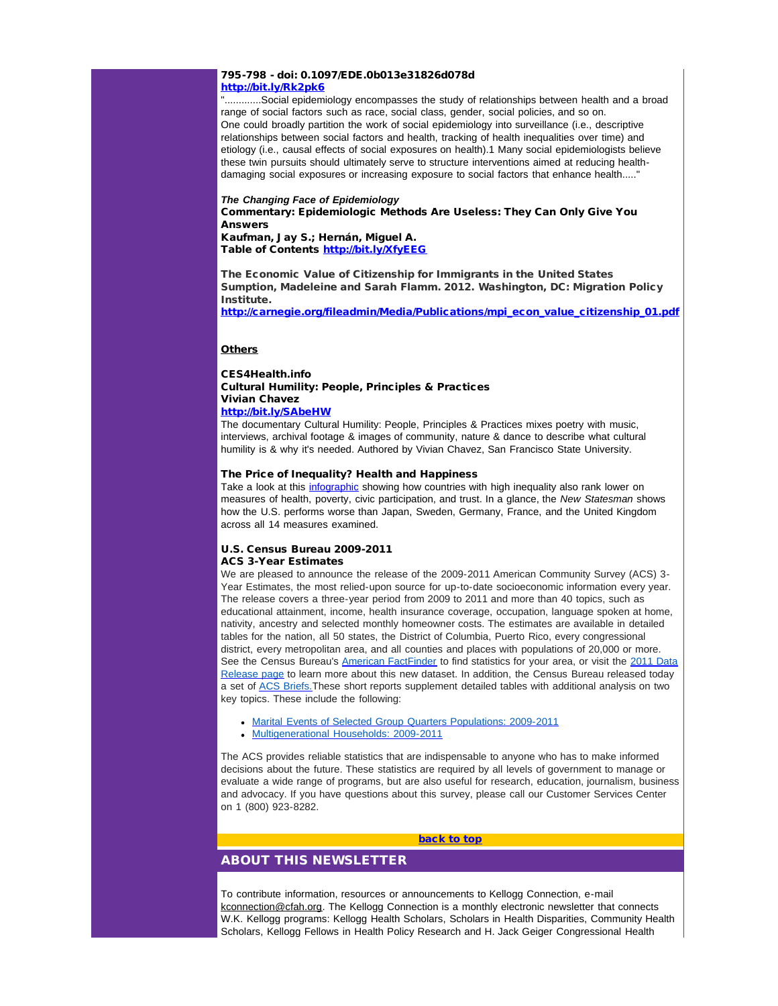#### 795-798 - doi: 0.1097/EDE.0b013e31826d078d [http://bit.ly/Rk2pk6](http://r20.rs6.net/tn.jsp?e=001oOLWlYw_sitSiawbxZg3GpZV7ggP1UAjaTdk-tlLKfUbVMwRWJvJcyqgFICXSgAUx5q35Ikhwrrj5aMuFUq2tsb0ML5ZcCzxbVCJFV-E-uY=)

".............Social epidemiology encompasses the study of relationships between health and a broad range of social factors such as race, social class, gender, social policies, and so on. One could broadly partition the work of social epidemiology into surveillance (i.e., descriptive relationships between social factors and health, tracking of health inequalities over time) and etiology (i.e., causal effects of social exposures on health).1 Many social epidemiologists believe these twin pursuits should ultimately serve to structure interventions aimed at reducing healthdamaging social exposures or increasing exposure to social factors that enhance health.....'

*The Changing Face of Epidemiology* Commentary: Epidemiologic Methods Are Useless: They Can Only Give You Answers Kaufman, Jay S.; Hernán, Miguel A.

Table of Contents [http://bit.ly/XfyEEG](http://r20.rs6.net/tn.jsp?e=001oOLWlYw_sitw4ZWE6HaQoflXAW-vtnTIhtf-yoaYeRHlQG_Qm3Hh3CxqkN6TAG50XO8s2SP_QPUcLjc2OObZ5co0nf-haT-Je4vVyxhdWIA=)

The Economic Value of Citizenship for Immigrants in the United States Sumption, Madeleine and Sarah Flamm. 2012. Washington, DC: Migration Policy Institute.

[http://carnegie.org/fileadmin/Media/Publications/mpi\\_econ\\_value\\_citizenship\\_01.pdf](http://r20.rs6.net/tn.jsp?e=001oOLWlYw_siuzPCbItK_gX6ufKXiaGr2BfiEHpsIiy910EL-vKqRFL1fjwsWRL65XlC6yfaQFd8rFc7mQPds0F11Mf8PvyxPkLhlKG6rLxTJ5zcrBSKO4MZdHP6TYer2AJCfrG48Pe3N5c4qTv8n2PDz8Dq6sR2b5LC1YESY1hBHRBPNGDjCSz5TSQI5bgNnZ)

# **Others**

### CES4Health.info Cultural Humility: People, Principles & Practices Vivian Chavez [http://bit.ly/SAbeHW](http://r20.rs6.net/tn.jsp?e=001oOLWlYw_sisuT5bsDblch5GxlVx-Slb2QYchlxJh8qD3FaM-6gihTjcca6epA5ScbTQkhzB6lTXH2i_NqFVVNkjTpIW8rsbaTV-Wl7Waxzc=)

The documentary Cultural Humility: People, Principles & Practices mixes poetry with music, interviews, archival footage & images of community, nature & dance to describe what cultural humility is & why it's needed. Authored by Vivian Chavez, San Francisco State University.

# The Price of Inequality? Health and Happiness

Take a look at this [infographic](http://r20.rs6.net/tn.jsp?e=001oOLWlYw_sisN5GNYbDxddj0W0pcmmeVq3fwziH5YuGKjQX0DjZ0yHqBTE3emXocbLfFjxoJxz9jKsXd6_X78RFPQTI725Kk7_4oshJjxMWWis0JKEBem1WIQNVeynafc4e4R8br_cTDYzxhmrwzV41hpiB4grDtuoch2xigROCBRUO-RtbhR2DZaPDt8Lz1QRhhf7eKPnIx7T1_b3WUGhKiHr-cN5eQF) showing how countries with high inequality also rank lower on measures of health, poverty, civic participation, and trust. In a glance, the *New Statesman* shows how the U.S. performs worse than Japan, Sweden, Germany, France, and the United Kingdom across all 14 measures examined.

## U.S. Census Bureau 2009-2011 ACS 3-Year Estimates

We are pleased to announce the release of the 2009-2011 American Community Survey (ACS) 3- Year Estimates, the most relied-upon source for up-to-date socioeconomic information every year. The release covers a three-year period from 2009 to 2011 and more than 40 topics, such as educational attainment, income, health insurance coverage, occupation, language spoken at home, nativity, ancestry and selected monthly homeowner costs. The estimates are available in detailed tables for the nation, all 50 states, the District of Columbia, Puerto Rico, every congressional district, every metropolitan area, and all counties and places with populations of 20,000 or more. See the Census Bureau's [American FactFinder](http://r20.rs6.net/tn.jsp?e=001oOLWlYw_sisCX9hoAsUtdGn0hF3kJorP5KmMJWjY6yqtMT_mViHa51jOquyB2-YEK4em6ghtJXdnOAJEG68ulQXRGWzcNmQB0MBXnNnn2E9IJIce1MRAWQK4n-dZQl9F1SzzLYoG0bgQdCKNmMlXpteOmr_8a6cjfu-EN5L2afxt9qthLjUcxi-v8lkpOnUBMi8i1_Vc9qW__nzHhadcEpMDpfpStWJF3wB9yhrxKM1z5vK15IPI1MN4Ye7orpIk9W9yZe4L6UWXHCbluJKQ-yKuZskmdQLbv00U1dV4cITO2Vd8mRZZ8mXvRmTNdCZ8YEWjmeA_ao5uajYnwgomZiuVQnWB4aK-3ejcV9eKWKu103EqQImkwKYVqBOMReCWN0M-l5_geXvvFwP5jhfH-ZjMIns-37rqsa2Su7oObEvw7u7jCZgES9F4mh2ibKYHbSYUmZsYD6eV7PT0ib9wnHI3SqNj1EIR3xAdFzsYVhpSeRHaBPznHFf3LZKeYyTgoDc_rcWTvzgYRTcVSX-SX9_fMmU8N91-T-GQup-P0YlI01K4B-sm7Fiz0bDGJY9cWdhLEsN5ckYxCI3wCTnNf5NyvB3SzkedpeXS_V-KiZB9oWUrHxNos8oCpP-UG0XA) to find statistics for your area, or visit the [2011 Data](http://r20.rs6.net/tn.jsp?e=001oOLWlYw_siuSJb7FSs5vHLH-_RAQUOVFfp-GIrfHIJlS5ZSEwEkaADUgb_1x-yTSV8zBvNigGQlEdsgXmfQAMnB6gdP5XSGv1PMa5e3-J0PDgLLUg28_QbrbJiiRgGN680eG0e8AI_5ngJcsk8uNcjg2qpN3PTJjTqkPto4lpA162Ho7OQvSms9qaYD7AO9Hx-RGVuUAPxmcW2NNZxMVglCRbw_LNzOlG0MGgnjiuFvT_xVe6xtVsAerFucYWQkaMUuslWz3nTOis2Jqx9LgyU7Moi2itq4GyfuloEPrUgdfsOD9cUsY9zARrnyIS8XVl71wt9C80406swLyThcTGT4K0iEAFHkdbAzEcPL-_EWeTJLWbIHSKl-o4sMK4rkLzp8-eVu41U4E4fST5JylJPhN1HykUuhDeJE5tYArSMT93prF_tOf08mozoiWZE5MrheeeRjNGAlKl0SWJ_mZsXoYRC2cG74VeNE8diFbwXF6ullHJnyYR1uOr_RwXLEq5g3so5oaEe57dgfWzlLttXApguzuStk7_BV2XrJQmXx7h26OVwfU3hqnp6eHutErE8euHfhgNg3GjIB004tjxjnbSACLnGBn1i1f2RiWTCc=) [Release page](http://r20.rs6.net/tn.jsp?e=001oOLWlYw_siuSJb7FSs5vHLH-_RAQUOVFfp-GIrfHIJlS5ZSEwEkaADUgb_1x-yTSV8zBvNigGQlEdsgXmfQAMnB6gdP5XSGv1PMa5e3-J0PDgLLUg28_QbrbJiiRgGN680eG0e8AI_5ngJcsk8uNcjg2qpN3PTJjTqkPto4lpA162Ho7OQvSms9qaYD7AO9Hx-RGVuUAPxmcW2NNZxMVglCRbw_LNzOlG0MGgnjiuFvT_xVe6xtVsAerFucYWQkaMUuslWz3nTOis2Jqx9LgyU7Moi2itq4GyfuloEPrUgdfsOD9cUsY9zARrnyIS8XVl71wt9C80406swLyThcTGT4K0iEAFHkdbAzEcPL-_EWeTJLWbIHSKl-o4sMK4rkLzp8-eVu41U4E4fST5JylJPhN1HykUuhDeJE5tYArSMT93prF_tOf08mozoiWZE5MrheeeRjNGAlKl0SWJ_mZsXoYRC2cG74VeNE8diFbwXF6ullHJnyYR1uOr_RwXLEq5g3so5oaEe57dgfWzlLttXApguzuStk7_BV2XrJQmXx7h26OVwfU3hqnp6eHutErE8euHfhgNg3GjIB004tjxjnbSACLnGBn1i1f2RiWTCc=) to learn more about this new dataset. In addition, the Census Bureau released today a set of [ACS Briefs.T](http://r20.rs6.net/tn.jsp?e=001oOLWlYw_sitx8oQmgGstdCoDph_BwCh_BJja0yYTnjs5vs70L2iW4miAdeQqZlBpHTJr9HvYIUYYq2yML2ctYtPkkkwykx6hcGT-OwC5uO2hAeyGeyyqRiGT9lpWECmez9MI2HSLh9wgUjSo7Y7aXSkemZuZtU1LlPxXt3Z68OPDMhpzA0fXBTtx4eGav3DJWf1qU4UN2Bg2TfZf9y3UOrSsvyn9UouugP_AdffTVS8kKW6K-WURgSUqHXp-jxekPEua6x0RDFXrHEMpJ7sAmvzYERV8y6bqbb83mxly7Xa2P7ZxriHbWgVwC5WSKJYWRDfxjRVQXYqiSOZekn1AS7DVCrmMIArx-zfJOJ3M3lW9tBPewupK1AkwfBy6vd8Z85VaGbYXyPE4J8EnbIeVOK5LmxYAsjWfeGnXybD-htD0SpfzDhcocNsJfXFi1ANKp3I_ylDa2bOCyE5SzgDyNFLYDq_qa9yd9bjORx126uerfiSiExoauhv06dhuOEuZxdWADppXF0hqw8SV6k0CnMrdKNzQoJRsBudIBldbMyRh0c2UyuTtokhPx1Wrfi9Y9szijL8alGz0--7hR4KIIcXO29x_sh4FWKuA9ZNXj2MbzHxqWTC0tQ==)hese short reports supplement detailed tables with additional analysis on two key topics. These include the following:

- [Marital Events of Selected Group Quarters Populations: 2009-2011](http://r20.rs6.net/tn.jsp?e=001oOLWlYw_sivz_NzdOcc4ETgcLBsbk3t5SFydIjnyPvGki7MwFLvQ_mhjmRNcIFs-XRnr9TdWNUx4YbfSQhINymlEaoqqTaMGtsXoPETjja7kL1sJjgRA1NJlebesbki-s-jehU2letfHof8d69fXo_FckXbTdfR3y_9YrQ7EiFJelLUBhEED9FOadb1aiz6JawtF7D17ZKe-KGls563qG9Y7a70PEjPe9bCVMdqmMTiCB0QLVntFzRzYuPntUEsYY1YH9BF6bltZaULJvhcgnw-_xydK6d26Uoxn0qZkV8tu-NlVHeiC3XhphklshRduz65o2fjczFQFoY_66XNz1ZW9xvbnWu1VSsg-u78BrFv3xcPQs1jIPoW5gwJX5mmuQZ62kWY-nCwZiNUgE8l2-Xyhly2Ykw2PnnsgsIe-hMdgqglz_ms-RiGLlQqmnBdhFa-H2yW8U4NPOhs-0Meo2ysQYCNQrOxyfIAT3hFgcsAzLgew4F-aoKgI9EP0IYZ3Xm18LijqNzKPPe1nNyKcJ2-jBc6rRbLm0NRrPEU-kR3V3waNmu5JucITJFkqV6z6Zqg0H7GVhLtmrIIlf88vew==)
- [Multigenerational Households: 2009-2011](http://r20.rs6.net/tn.jsp?e=001oOLWlYw_sit2w0pMjG0-IX9hUFkZR-Wpmo76uIg4bL3lpFto0bVEv9JJYyITkf0W1wvex6lXF5d2ksqvXDv7dNtKQypvHDep281aPgRLft1NZxpXo4QpsR9H8z_rh_LjvCU_G6_-a_YkFi6Yjud3BCHxgBw0RDjmR5P8GSMvNrqHR0nvc-yjjyTBnidHkrUsMZ-p4JZZJFuBLy-e7H79soyn0cPBDrpqRoozmLj6etbQAzn9u0gg-nkaS8icWGBKRU3DnhyO4KsscYlzb84c4TiLh4LdxDxd-BXcKJw5Da-nTUyHD5UmaAA6PW99Igogpz3ChutTTm580cjbbc_ZX0fFYgWNGC2ZGkRiTikHv5sM4bjBn4W5a-rfTSo8AiZY2zIRZXMtonlcF4uQTIOV4BXwj1oRpcnssVuFoD2G2ep5TEs6ZY6EMbZ00oqw7C_cW4CkK9Mz-68zVFwB4Voca9WdXAW34YqN-vcHAGaiC_er8VibLu0sQ-yF8W0eCQX6PMLs4efWlNUVXQNJB4FPD7Zc7YMvPmD0RMivaftnZncOSSFTul55CMuNINbQvNaimwqGNbjuIuY2Y7DQ322drQ==)

The ACS provides reliable statistics that are indispensable to anyone who has to make informed decisions about the future. These statistics are required by all levels of government to manage or evaluate a wide range of programs, but are also useful for research, education, journalism, business and advocacy. If you have questions about this survey, please call our Customer Services Center on 1 (800) 923-8282.

## [back to top](#page-0-3)

# ABOUT THIS NEWSLETTER

To contribute information, resources or announcements to Kellogg Connection, e-mail [kconnection@cfah.org.](mailto:kconnection@cfah.org) The Kellogg Connection is a monthly electronic newsletter that connects W.K. Kellogg programs: Kellogg Health Scholars, Scholars in Health Disparities, Community Health Scholars, Kellogg Fellows in Health Policy Research and H. Jack Geiger Congressional Health